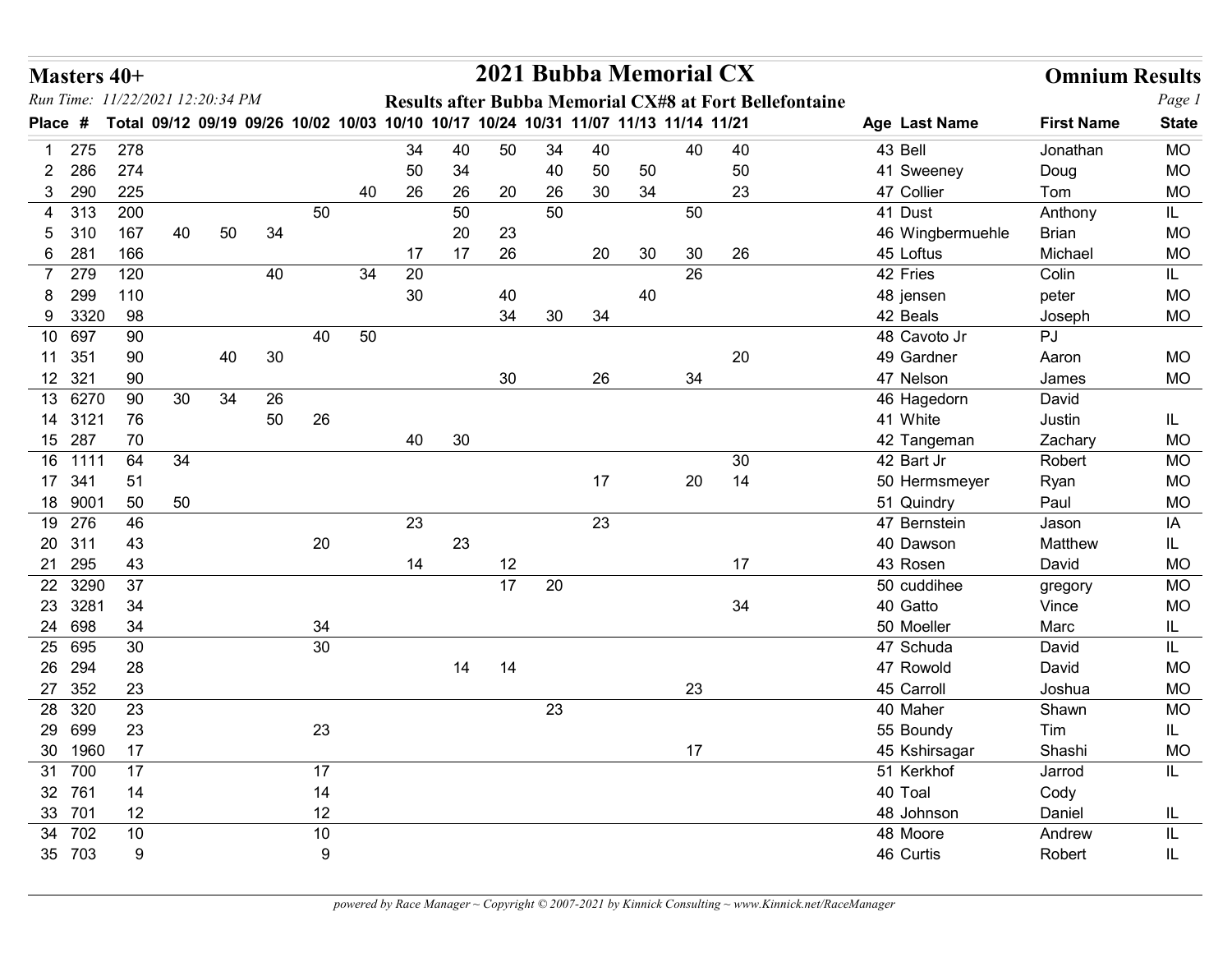| Masters 40+                                      |   |          |                                                                                     |    |          |    |    |    | 2021 Bubba Memorial CX |    |    |    |        |                                                         |                         | <b>Omnium Results</b> |                        |
|--------------------------------------------------|---|----------|-------------------------------------------------------------------------------------|----|----------|----|----|----|------------------------|----|----|----|--------|---------------------------------------------------------|-------------------------|-----------------------|------------------------|
| Run Time: 11/22/2021 12:20:34 PM<br><b>Place</b> | # |          | Total 09/12 09/19 09/26 10/02 10/03 10/10 10/17 10/24 10/31 11/07 11/13 11/14 11/21 |    |          |    |    |    |                        |    |    |    |        | Results after Bubba Memorial CX#8 at Fort Bellefontaine | Age Last Name           | <b>First Name</b>     | Page 1<br><b>State</b> |
| 275<br>-1                                        |   | 278      |                                                                                     |    |          |    | 34 | 40 | 50                     | 34 | 40 |    | 40     | 40                                                      | 43 Bell                 | Jonathan              | <b>MO</b>              |
| 286<br>2.                                        |   | 274      |                                                                                     |    |          |    | 50 | 34 |                        | 40 | 50 | 50 |        | 50                                                      | 41 Sweeney              | Doug                  | <b>MO</b>              |
| 290<br>3                                         |   | 225      |                                                                                     |    |          | 40 | 26 | 26 | 20                     | 26 | 30 | 34 |        | 23                                                      | 47 Collier              | Tom                   | <b>MO</b>              |
| 313<br>4                                         |   | 200      |                                                                                     |    | 50       |    |    | 50 |                        | 50 |    |    | 50     |                                                         | 41 Dust                 | Anthony               | IL                     |
| 310<br>5.                                        |   | 167      | 50<br>40                                                                            | 34 |          |    |    | 20 | 23                     |    |    |    |        |                                                         | 46 Wingbermuehle        | <b>Brian</b>          | <b>MO</b>              |
| 6 281                                            |   | 166      |                                                                                     |    |          |    | 17 | 17 | 26                     |    | 20 | 30 | 30     | 26                                                      | 45 Loftus               | Michael               | <b>MO</b>              |
| 279                                              |   | 120      |                                                                                     | 40 |          | 34 | 20 |    |                        |    |    |    | 26     |                                                         | 42 Fries                | Colin                 | IL.                    |
| 299                                              |   | 110      |                                                                                     |    |          |    | 30 |    | 40                     |    |    | 40 |        |                                                         | 48 jensen               | peter                 | <b>MO</b>              |
| 9 3320                                           |   | 98       |                                                                                     |    |          |    |    |    | 34                     | 30 | 34 |    |        |                                                         | 42 Beals                | Joseph                | <b>MO</b>              |
| 10 697                                           |   | 90       |                                                                                     |    | 40       | 50 |    |    |                        |    |    |    |        |                                                         | 48 Cavoto Jr            | PJ                    |                        |
| 11 351<br>12 321                                 |   | 90<br>90 | 40                                                                                  | 30 |          |    |    |    | 30                     |    | 26 |    | 34     | 20                                                      | 49 Gardner<br>47 Nelson | Aaron<br>James        | <b>MO</b><br><b>MO</b> |
| 13 6270                                          |   | 90<br>30 | 34                                                                                  | 26 |          |    |    |    |                        |    |    |    |        |                                                         | 46 Hagedorn             | David                 |                        |
| 14 3121                                          |   | 76       |                                                                                     | 50 | 26       |    |    |    |                        |    |    |    |        |                                                         | 41 White                | Justin                | IL.                    |
| 15 287                                           |   | 70       |                                                                                     |    |          |    | 40 | 30 |                        |    |    |    |        |                                                         | 42 Tangeman             | Zachary               | MO                     |
| 16 1111                                          |   | 64<br>34 |                                                                                     |    |          |    |    |    |                        |    |    |    |        | 30                                                      | 42 Bart Jr              | Robert                | MO                     |
| 17 341                                           |   | 51       |                                                                                     |    |          |    |    |    |                        |    | 17 |    | $20\,$ | 14                                                      | 50 Hermsmeyer           | Ryan                  | $MO$                   |
| 18 9001                                          |   | 50       | 50                                                                                  |    |          |    |    |    |                        |    |    |    |        |                                                         | 51 Quindry              | Paul                  | MO                     |
| 19 276                                           |   | 46       |                                                                                     |    |          |    | 23 |    |                        |    | 23 |    |        |                                                         | 47 Bernstein            | Jason                 | IA                     |
| 20 311                                           |   | 43       |                                                                                     |    | 20       |    |    | 23 |                        |    |    |    |        |                                                         | 40 Dawson               | Matthew               | IL.                    |
| 21 295                                           |   | 43       |                                                                                     |    |          |    | 14 |    | 12                     |    |    |    |        | 17                                                      | 43 Rosen                | David                 | MO                     |
| 22 3290                                          |   | 37       |                                                                                     |    |          |    |    |    | 17                     | 20 |    |    |        |                                                         | 50 cuddihee             | gregory               | MO                     |
| 23 3281                                          |   | 34       |                                                                                     |    |          |    |    |    |                        |    |    |    |        | 34                                                      | 40 Gatto                | Vince                 | MO                     |
| 24 698<br>25 695                                 |   | 34<br>30 |                                                                                     |    | 34<br>30 |    |    |    |                        |    |    |    |        |                                                         | 50 Moeller<br>47 Schuda | Marc<br>David         | IL.                    |
| 26 294                                           |   | 28       |                                                                                     |    |          |    |    | 14 | 14                     |    |    |    |        |                                                         | 47 Rowold               | David                 | IL.<br>MO              |
| 27 352                                           |   | 23       |                                                                                     |    |          |    |    |    |                        |    |    |    | 23     |                                                         | 45 Carroll              | Joshua                | <b>MO</b>              |
| 28 320                                           |   | 23       |                                                                                     |    |          |    |    |    |                        | 23 |    |    |        |                                                         | 40 Maher                | Shawn                 | <b>MO</b>              |
| 29 699                                           |   | 23       |                                                                                     |    | 23       |    |    |    |                        |    |    |    |        |                                                         | 55 Boundy               | Tim                   | IL.                    |
| 30 1960                                          |   | 17       |                                                                                     |    |          |    |    |    |                        |    |    |    | $17$   |                                                         | 45 Kshirsagar           | Shashi                | <b>MO</b>              |
| 31 700                                           |   | 17       |                                                                                     |    | 17       |    |    |    |                        |    |    |    |        |                                                         | 51 Kerkhof              | Jarrod                | IL                     |
| 32 761                                           |   | 14       |                                                                                     |    | 14       |    |    |    |                        |    |    |    |        |                                                         | 40 Toal                 | Cody                  |                        |
| 33 701                                           |   | 12       |                                                                                     |    | 12       |    |    |    |                        |    |    |    |        |                                                         | 48 Johnson              | Daniel                | IL.                    |
| 34 702                                           |   | 10       |                                                                                     |    | 10       |    |    |    |                        |    |    |    |        |                                                         | 48 Moore                | Andrew                |                        |
| 35 703                                           |   | 9        |                                                                                     |    | 9        |    |    |    |                        |    |    |    |        |                                                         | 46 Curtis               | Robert                | IL.                    |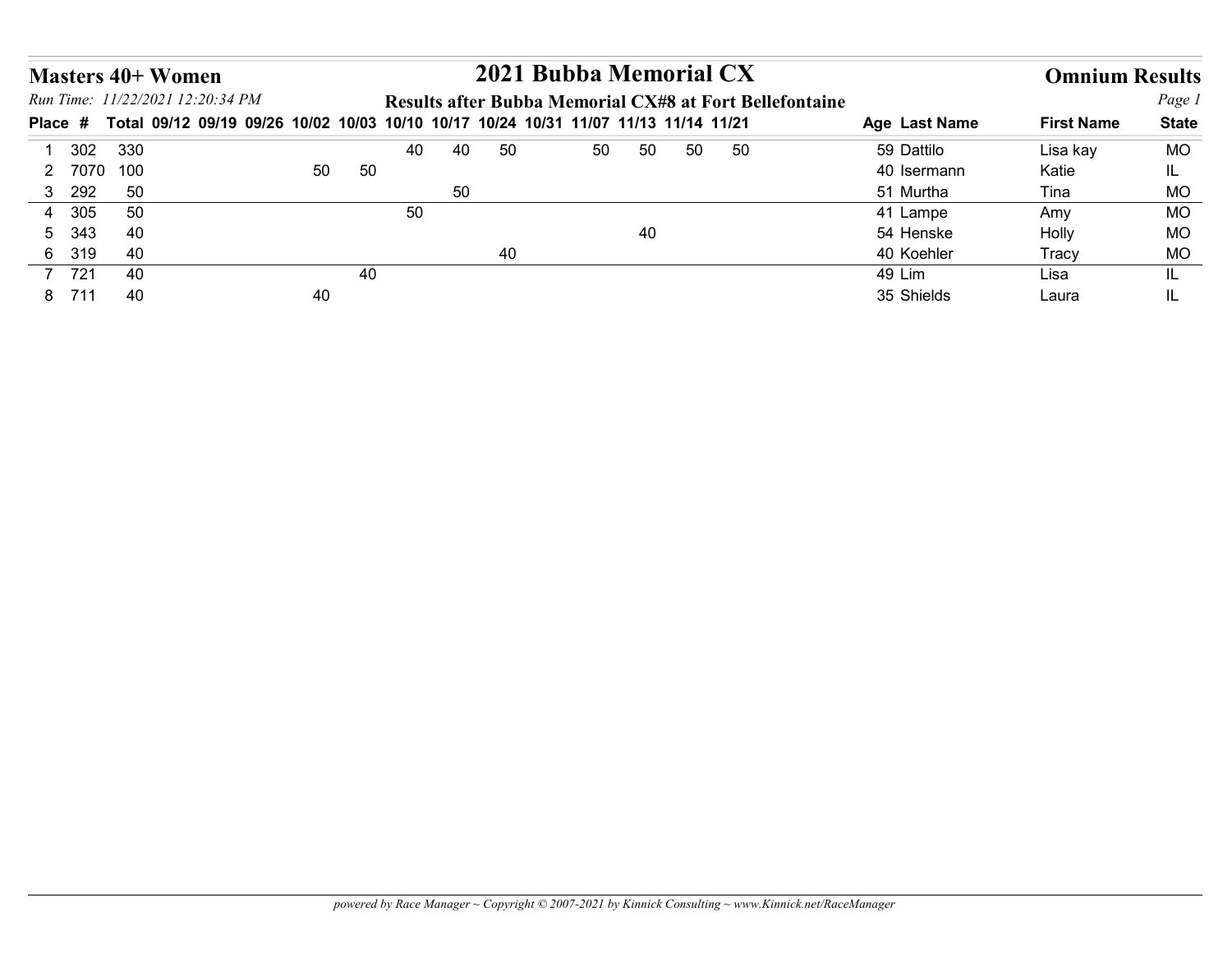|                       | <b>Masters 40+ Women</b>                                                            |    |    |    | 2021 Bubba Memorial CX |    |    |    |                                                         |               | <b>Omnium Results</b> |              |
|-----------------------|-------------------------------------------------------------------------------------|----|----|----|------------------------|----|----|----|---------------------------------------------------------|---------------|-----------------------|--------------|
|                       | Run Time: 11/22/2021 12:20:34 PM                                                    |    |    |    |                        |    |    |    | Results after Bubba Memorial CX#8 at Fort Bellefontaine |               |                       | Page 1       |
|                       | Total 09/12 09/19 09/26 10/02 10/03 10/10 10/17 10/24 10/31 11/07 11/13 11/14 11/21 |    |    |    |                        |    |    |    |                                                         | Age Last Name | <b>First Name</b>     | <b>State</b> |
| 302<br>-1             | 330                                                                                 |    | 40 | 40 | 50                     | 50 | 50 | 50 | 50                                                      | 59 Dattilo    | Lisa kay              | <b>MO</b>    |
| 2 7070                | 100                                                                                 | 50 | 50 |    |                        |    |    |    |                                                         | 40 Isermann   | Katie                 | IL.          |
| 292<br>3 <sup>1</sup> | 50                                                                                  |    |    | 50 |                        |    |    |    |                                                         | 51 Murtha     | Tina                  | <b>MO</b>    |
| 305<br>4              | 50                                                                                  |    | 50 |    |                        |    |    |    |                                                         | 41 Lampe      | Amy                   | <b>MO</b>    |
| 343<br>5              | 40                                                                                  |    |    |    |                        |    | 40 |    |                                                         | 54 Henske     | Holly                 | <b>MO</b>    |
| 6 319                 | 40                                                                                  |    |    |    | 40                     |    |    |    |                                                         | 40 Koehler    | Tracy                 | MO           |
| Place #<br>7 721      | 40                                                                                  |    | 40 |    |                        |    |    |    |                                                         | 49 Lim        | Lisa                  | IL           |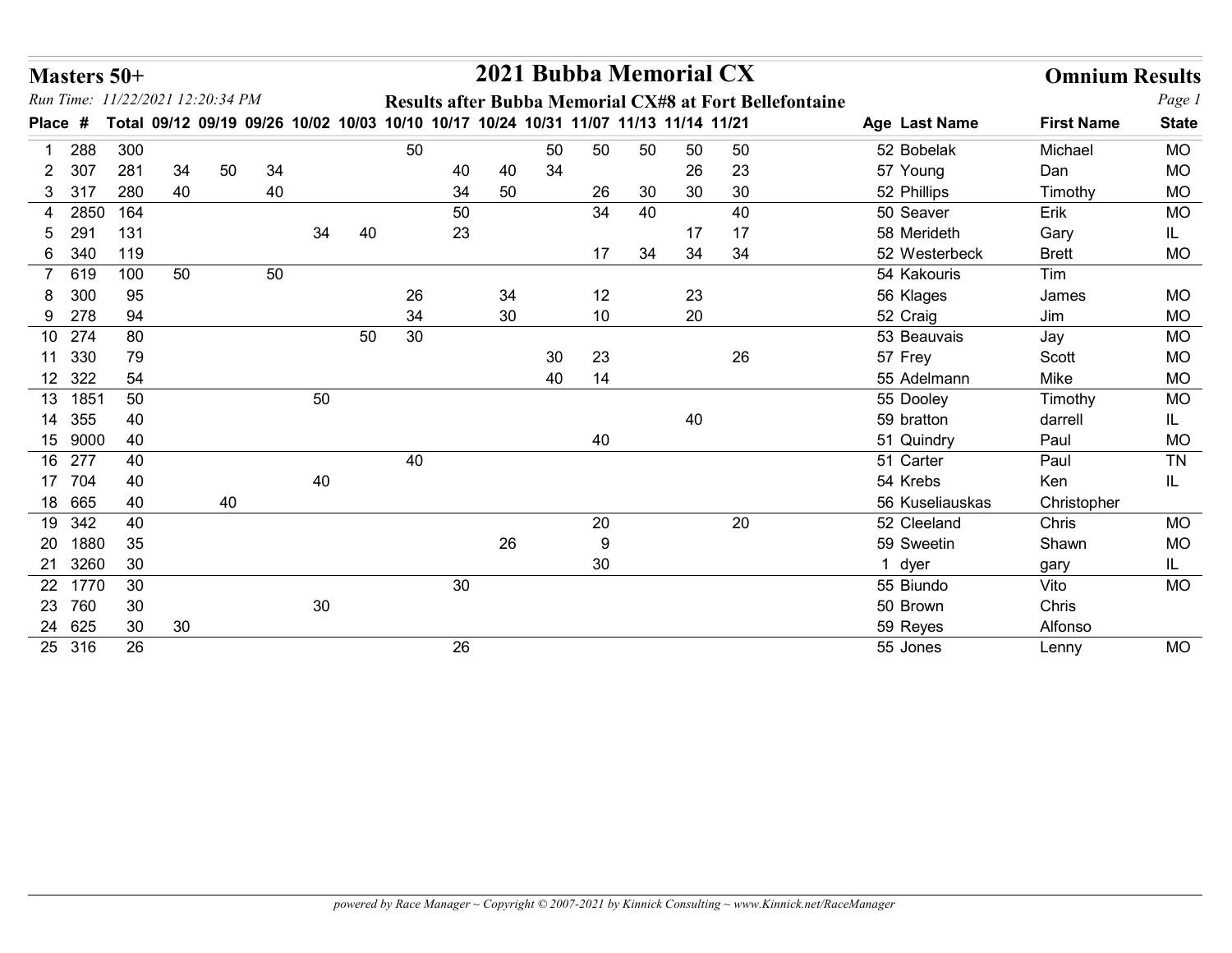| Masters 50+<br>Run Time: 11/22/2021 12:20:34 PM |                       |    |    |    |                                                                                     |    |    |    |    |    |                            | 2021 Bubba Memorial CX |    | Results after Bubba Memorial CX#8 at Fort Bellefontaine |                                | <b>Omnium Results</b> | Page 1       |
|-------------------------------------------------|-----------------------|----|----|----|-------------------------------------------------------------------------------------|----|----|----|----|----|----------------------------|------------------------|----|---------------------------------------------------------|--------------------------------|-----------------------|--------------|
| Place #                                         |                       |    |    |    | Total 09/12 09/19 09/26 10/02 10/03 10/10 10/17 10/24 10/31 11/07 11/13 11/14 11/21 |    |    |    |    |    |                            |                        |    |                                                         | Age Last Name                  | <b>First Name</b>     | <b>State</b> |
| 288                                             | 300                   |    |    |    |                                                                                     |    | 50 |    |    | 50 | 50                         | 50                     | 50 | 50                                                      | 52 Bobelak                     | Michael               | <b>MO</b>    |
| 2 307                                           | 281                   | 34 | 50 | 34 |                                                                                     |    |    | 40 | 40 | 34 |                            |                        | 26 | 23                                                      | 57 Young                       | Dan                   | <b>MO</b>    |
| 3 317                                           | 280                   | 40 |    | 40 |                                                                                     |    |    | 34 | 50 |    | 26                         | 30                     | 30 | 30                                                      | 52 Phillips                    | Timothy               | <b>MO</b>    |
| 4 2850                                          | 164                   |    |    |    |                                                                                     |    |    | 50 |    |    | 34                         | 40                     |    | 40                                                      | 50 Seaver                      | Erik                  | <b>MO</b>    |
| 29<br>5                                         | 131                   |    |    |    | 34                                                                                  | 40 |    | 23 |    |    |                            |                        | 17 | 17                                                      | 58 Merideth                    | Gary                  | IL           |
| 6 340                                           | 119                   |    |    |    |                                                                                     |    |    |    |    |    | 17                         | 34                     | 34 | 34                                                      | 52 Westerbeck                  | <b>Brett</b>          | <b>MO</b>    |
| 7 619                                           | 100                   | 50 |    | 50 |                                                                                     |    |    |    |    |    |                            |                        |    |                                                         | 54 Kakouris                    | Tim                   |              |
| 300<br>8                                        | 95                    |    |    |    |                                                                                     |    | 26 |    | 34 |    | 12                         |                        | 23 |                                                         | 56 Klages                      | James                 | <b>MO</b>    |
| 9 278                                           | 94                    |    |    |    |                                                                                     |    | 34 |    | 30 |    | 10                         |                        | 20 |                                                         | 52 Craig                       | Jim                   | MO           |
| 10 274                                          | 80                    |    |    |    |                                                                                     | 50 | 30 |    |    |    |                            |                        |    |                                                         | 53 Beauvais                    | Jay                   | MO           |
| 11 330                                          | 79                    |    |    |    |                                                                                     |    |    |    |    | 30 | 23                         |                        |    | 26                                                      | 57 Frey                        | Scott                 | <b>MO</b>    |
| 12 322                                          | 54                    |    |    |    |                                                                                     |    |    |    |    | 40 | 14                         |                        |    |                                                         | 55 Adelmann                    | Mike                  | <b>MO</b>    |
| 13 1851                                         | 50                    |    |    |    | 50                                                                                  |    |    |    |    |    |                            |                        |    |                                                         | 55 Dooley                      | Timothy               | MO           |
| 14 355                                          | 40                    |    |    |    |                                                                                     |    |    |    |    |    |                            |                        | 40 |                                                         | 59 bratton                     | darrell               | IL.          |
| 15 9000                                         | 40                    |    |    |    |                                                                                     |    |    |    |    |    | 40                         |                        |    |                                                         | 51 Quindry                     | Paul                  | MO           |
| 16 277                                          | 40                    |    |    |    |                                                                                     |    | 40 |    |    |    |                            |                        |    |                                                         | 51 Carter                      | Paul                  | TN           |
| 17 704                                          | 40<br>40              |    |    |    | 40                                                                                  |    |    |    |    |    |                            |                        |    |                                                         | 54 Krebs                       | Ken                   | IL.          |
| 18 665<br>19 342                                | 40                    |    | 40 |    |                                                                                     |    |    |    |    |    |                            |                        |    | $20\,$                                                  | 56 Kuseliauskas<br>52 Cleeland | Christopher<br>Chris  | <b>MO</b>    |
|                                                 | $35\,$                |    |    |    |                                                                                     |    |    |    | 26 |    | $20\,$<br>$\boldsymbol{9}$ |                        |    |                                                         | 59 Sweetin                     | Shawn                 | MO           |
|                                                 |                       |    |    |    |                                                                                     |    |    |    |    |    | 30 <sup>°</sup>            |                        |    |                                                         | 1 dyer                         |                       | IL.          |
| 20 1880                                         |                       |    |    |    |                                                                                     |    |    |    |    |    |                            |                        |    |                                                         | 55 Biundo                      | gary<br>Vito          | MO           |
| 21 3260                                         | 30                    |    |    |    |                                                                                     |    |    |    |    |    |                            |                        |    |                                                         | 50 Brown                       | Chris                 |              |
| 22 1770                                         | 30                    |    |    |    |                                                                                     |    |    | 30 |    |    |                            |                        |    |                                                         |                                |                       |              |
| 23 760<br>24 625                                | 30<br>30 <sup>°</sup> | 30 |    |    | $30\,$                                                                              |    |    |    |    |    |                            |                        |    |                                                         | 59 Reyes                       | Alfonso               |              |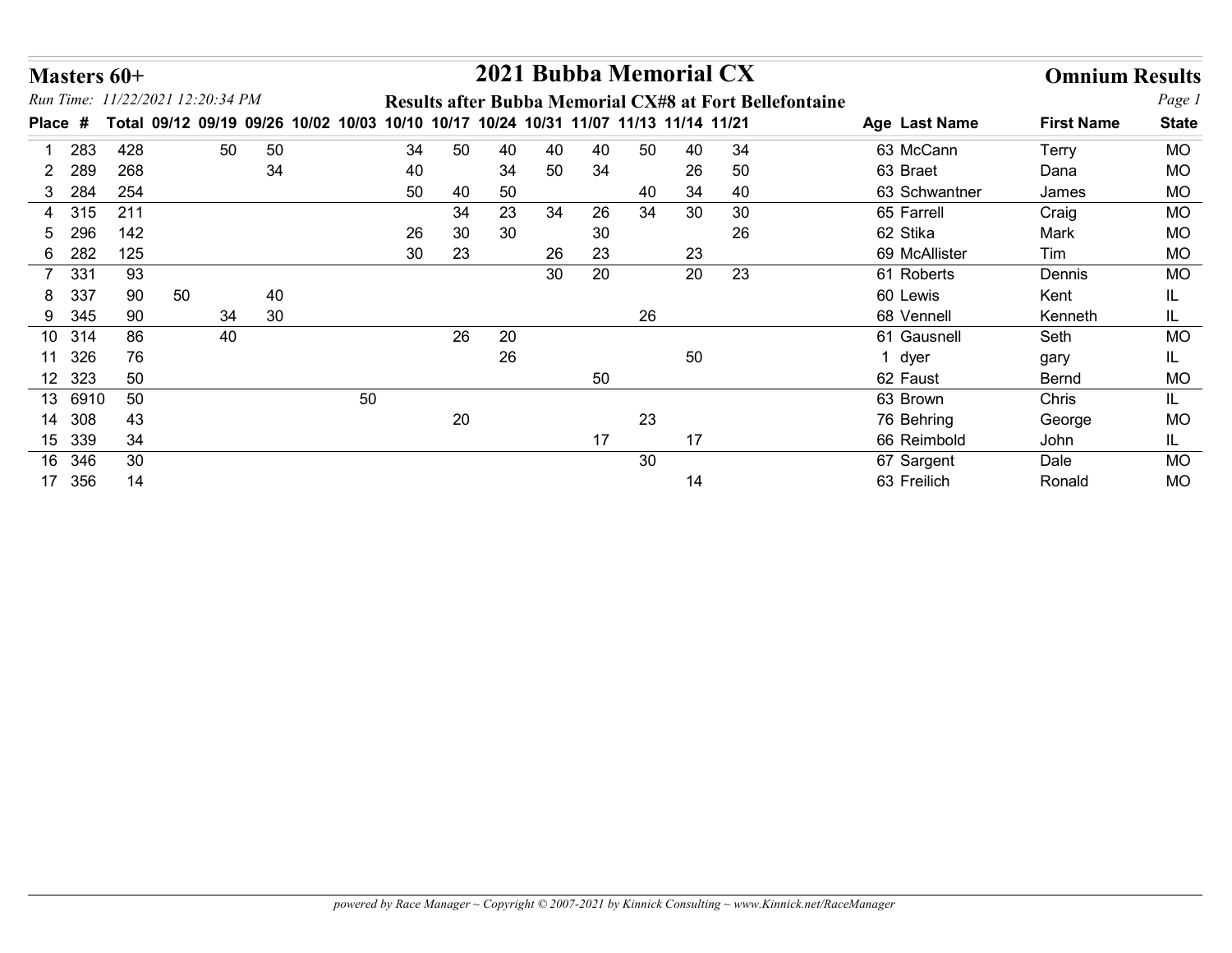| Masters 60+       |              |                                                                                     |    |    |    |    |    |    |    | 2021 Bubba Memorial CX |      |                                                         |                        | <b>Omnium Results</b> |              |
|-------------------|--------------|-------------------------------------------------------------------------------------|----|----|----|----|----|----|----|------------------------|------|---------------------------------------------------------|------------------------|-----------------------|--------------|
|                   |              | Run Time: 11/22/2021 12:20:34 PM                                                    |    |    |    |    |    |    |    |                        |      | Results after Bubba Memorial CX#8 at Fort Bellefontaine |                        |                       | Page 1       |
| Place #           |              | Total 09/12 09/19 09/26 10/02 10/03 10/10 10/17 10/24 10/31 11/07 11/13 11/14 11/21 |    |    |    |    |    |    |    |                        |      |                                                         | Age Last Name          | <b>First Name</b>     | <b>State</b> |
| 283<br>-1         | 428          | 50                                                                                  | 50 |    | 34 | 50 | 40 | 40 | 40 | 50                     | 40   | 34                                                      | 63 McCann              | Terry                 | MO           |
| 289<br>2          | 268          |                                                                                     | 34 |    | 40 |    | 34 | 50 | 34 |                        | 26   | 50                                                      | 63 Braet               | Dana                  | MO           |
| 3 284             | 254          |                                                                                     |    |    | 50 | 40 | 50 |    |    | 40                     | 34   | 40                                                      | 63 Schwantner          | James                 | <b>MO</b>    |
| 315<br>4          | 211          |                                                                                     |    |    |    | 34 | 23 | 34 | 26 | 34                     | 30   | 30                                                      | 65 Farrell             | Craig                 | MO           |
| 296<br>5          | 142          |                                                                                     |    |    | 26 | 30 | 30 |    | 30 |                        |      | 26                                                      | 62 Stika               | Mark                  | <b>MO</b>    |
| 6 282             | 125          |                                                                                     |    |    | 30 | 23 |    | 26 | 23 |                        | 23   |                                                         | 69 McAllister          | Tim                   | <b>MO</b>    |
| 7 331             | 93           |                                                                                     |    |    |    |    |    | 30 | 20 |                        | 20   | 23                                                      | 61 Roberts             | Dennis                | <b>MO</b>    |
| 337<br>8          | 90           | 50                                                                                  | 40 |    |    |    |    |    |    |                        |      |                                                         | 60 Lewis               | Kent                  | IL.          |
| 9 345             | 90           | 34                                                                                  | 30 |    |    |    |    |    |    | 26                     |      |                                                         | 68 Vennell             | Kenneth               | IL.          |
| 10 314            | 86           | 40                                                                                  |    |    |    | 26 | 20 |    |    |                        |      |                                                         | 61 Gausnell            | Seth                  | <b>MO</b>    |
| 11 326<br>12 323  | 76<br>50     |                                                                                     |    |    |    |    | 26 |    |    |                        | 50   |                                                         | 1 dyer                 | gary                  | IL.          |
|                   |              |                                                                                     |    |    |    |    |    |    | 50 |                        |      |                                                         | 62 Faust               | Bernd                 | MO           |
| 13 6910<br>14 308 | 50<br>$43\,$ |                                                                                     |    | 50 |    | 20 |    |    |    | 23                     |      |                                                         | 63 Brown<br>76 Behring | Chris<br>George       | IL<br>$MO$   |
| 15 339            | $34$         |                                                                                     |    |    |    |    |    |    | 17 |                        | $17$ |                                                         | 66 Reimbold            | John                  | IL.          |
|                   | $30\,$       |                                                                                     |    |    |    |    |    |    |    | 30                     |      |                                                         | 67 Sargent             | Dale                  | $\sf MO$     |
|                   | 14           |                                                                                     |    |    |    |    |    |    |    |                        | 14   |                                                         | 63 Freilich            | Ronald                | $\sf MO$     |
| 16 346<br>17 356  |              |                                                                                     |    |    |    |    |    |    |    |                        |      |                                                         |                        |                       |              |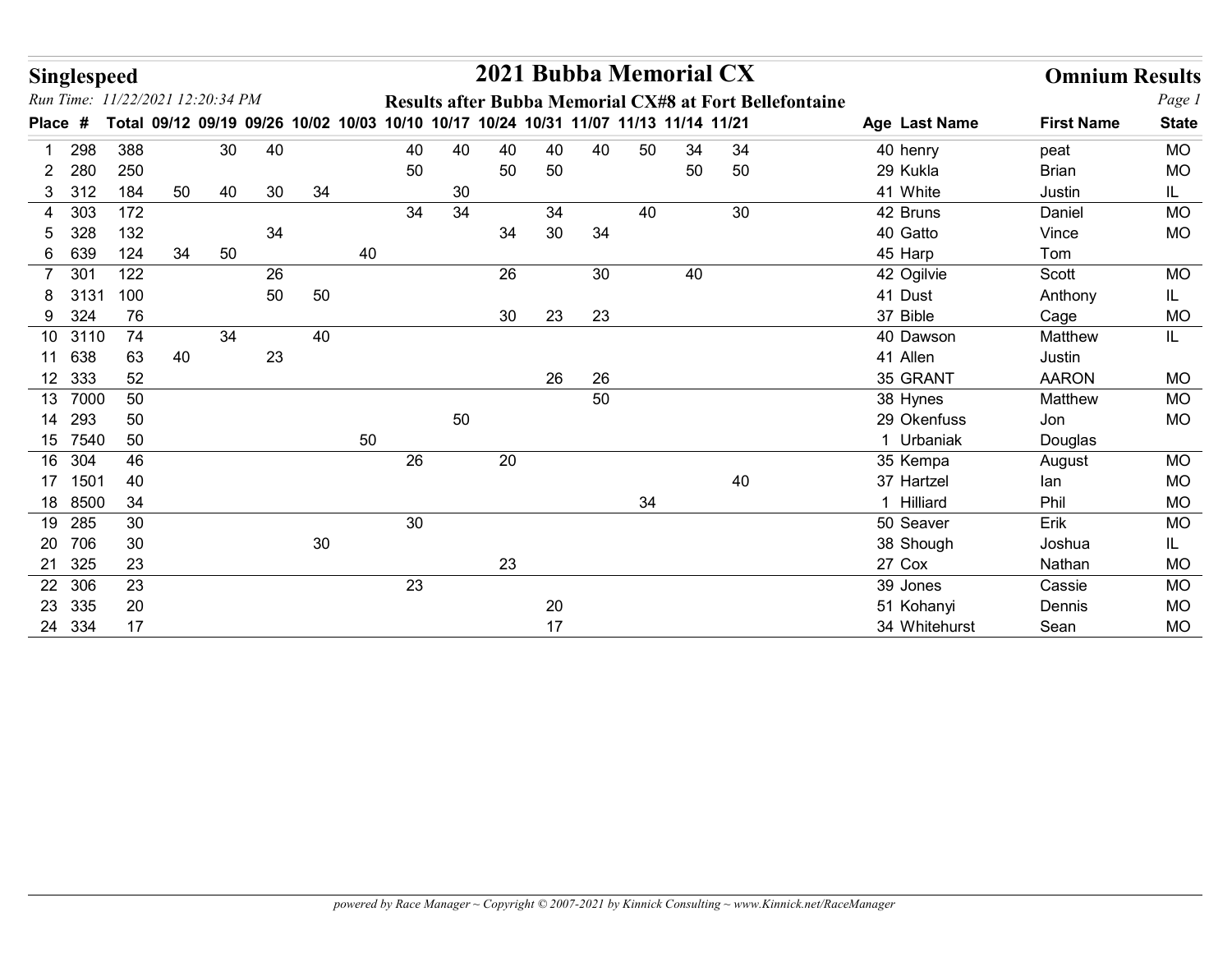|                                             | Singlespeed  |                                                                                     |    |    |        |    |    |    |    |        |    | 2021 Bubba Memorial CX |    |                                                         |                     | <b>Omnium Results</b> |                        |
|---------------------------------------------|--------------|-------------------------------------------------------------------------------------|----|----|--------|----|----|----|----|--------|----|------------------------|----|---------------------------------------------------------|---------------------|-----------------------|------------------------|
| Run Time: 11/22/2021 12:20:34 PM<br>Place # |              | Total 09/12 09/19 09/26 10/02 10/03 10/10 10/17 10/24 10/31 11/07 11/13 11/14 11/21 |    |    |        |    |    |    |    |        |    |                        |    | Results after Bubba Memorial CX#8 at Fort Bellefontaine | Age Last Name       | <b>First Name</b>     | Page 1<br><b>State</b> |
| 298                                         | 388          |                                                                                     | 30 | 40 |        |    | 40 | 40 | 40 | 40     | 40 | 50                     | 34 | 34                                                      | 40 henry            |                       | MO                     |
| 280<br>$2^{\circ}$                          | 250          |                                                                                     |    |    |        |    | 50 |    | 50 | 50     |    |                        | 50 | 50                                                      | 29 Kukla            | peat<br><b>Brian</b>  | <b>MO</b>              |
| 3 312                                       | 184          | 50                                                                                  | 40 | 30 | 34     |    |    | 30 |    |        |    |                        |    |                                                         | 41 White            | Justin                | IL.                    |
| 4 303                                       | 172          |                                                                                     |    |    |        |    | 34 | 34 |    | 34     |    | 40                     |    | 30                                                      | 42 Bruns            | Daniel                | <b>MO</b>              |
| 328<br>5                                    | 132          |                                                                                     |    | 34 |        |    |    |    | 34 | 30     | 34 |                        |    |                                                         | 40 Gatto            | Vince                 | <b>MO</b>              |
| 639<br>6                                    | 124          | 34                                                                                  | 50 |    |        | 40 |    |    |    |        |    |                        |    |                                                         | 45 Harp             | Tom                   |                        |
| 30 <sup>°</sup><br>$\overline{7}$           | 122          |                                                                                     |    | 26 |        |    |    |    | 26 |        | 30 |                        | 40 |                                                         | 42 Ogilvie          | Scott                 | <b>MO</b>              |
| 3131<br>8                                   | 100          |                                                                                     |    | 50 | 50     |    |    |    |    |        |    |                        |    |                                                         | 41 Dust             | Anthony               | IL.                    |
| 9 324                                       | 76           |                                                                                     |    |    |        |    |    |    | 30 | 23     | 23 |                        |    |                                                         | 37 Bible            | Cage                  | MO                     |
| 10 3110                                     | 74           |                                                                                     | 34 |    | 40     |    |    |    |    |        |    |                        |    |                                                         | 40 Dawson           | Matthew               | IL.                    |
| 11 638                                      | 63           | 40                                                                                  |    | 23 |        |    |    |    |    |        |    |                        |    |                                                         | 41 Allen            | Justin                |                        |
| 12 333                                      | 52           |                                                                                     |    |    |        |    |    |    |    | 26     | 26 |                        |    |                                                         | 35 GRANT            | <b>AARON</b>          | <b>MO</b>              |
| 13 7000                                     | 50           |                                                                                     |    |    |        |    |    |    |    |        | 50 |                        |    |                                                         | 38 Hynes            | Matthew               | MO                     |
| 14 293                                      | 50           |                                                                                     |    |    |        |    |    | 50 |    |        |    |                        |    |                                                         | 29 Okenfuss         | Jon                   | <b>MO</b>              |
| 15 7540                                     | 50           |                                                                                     |    |    |        | 50 |    |    |    |        |    |                        |    |                                                         | 1 Urbaniak          | Douglas               |                        |
| 16 304                                      | 46           |                                                                                     |    |    |        |    | 26 |    | 20 |        |    |                        |    |                                                         | 35 Kempa            | August                | <b>MO</b>              |
| 17 1501                                     | 40           |                                                                                     |    |    |        |    |    |    |    |        |    |                        |    | 40                                                      | 37 Hartzel          | lan                   | MO                     |
| 18 8500                                     | 34           |                                                                                     |    |    |        |    |    |    |    |        |    | 34                     |    |                                                         | 1 Hilliard          | Phil                  | <b>MO</b>              |
| 19 285                                      | $30\,$       |                                                                                     |    |    |        |    | 30 |    |    |        |    |                        |    |                                                         | 50 Seaver           | Erik                  | MO                     |
| 20 706<br>21 325                            | $30\,$<br>23 |                                                                                     |    |    | $30\,$ |    |    |    | 23 |        |    |                        |    |                                                         | 38 Shough<br>27 Cox | Joshua                | IL<br>MO               |
| 22 306                                      | 23           |                                                                                     |    |    |        |    | 23 |    |    |        |    |                        |    |                                                         | 39 Jones            | Nathan<br>Cassie      | MO                     |
| 23 335                                      | 20           |                                                                                     |    |    |        |    |    |    |    | $20\,$ |    |                        |    |                                                         | 51 Kohanyi          | Dennis                | <b>MO</b>              |
|                                             | 24 334<br>17 |                                                                                     |    |    |        |    |    |    |    | 17     |    |                        |    |                                                         | 34 Whitehurst       | Sean                  | <b>MO</b>              |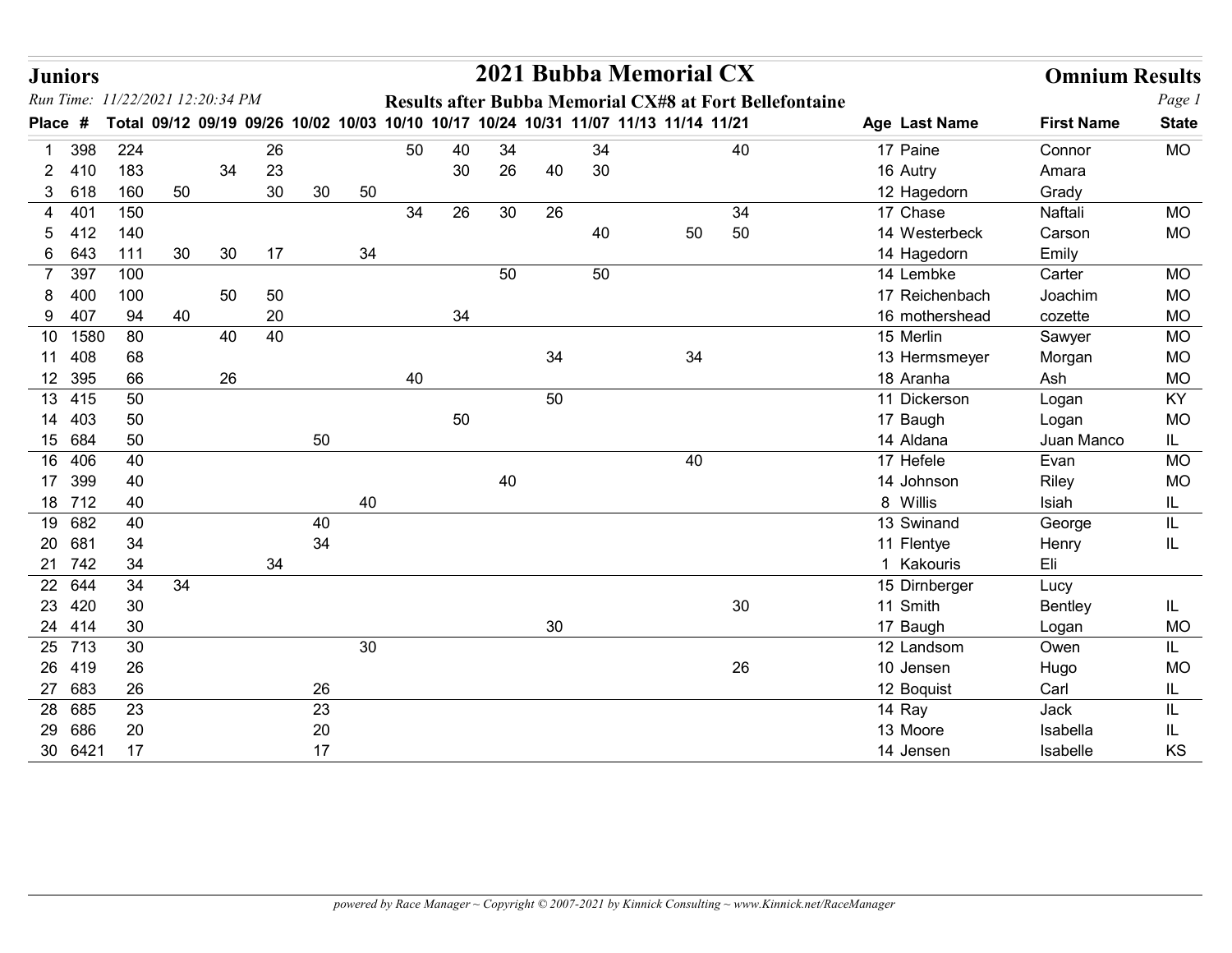|              | <b>Juniors</b>   |                                  |    |    |          |        |    |    |          |          |        |          | 2021 Bubba Memorial CX                                                              |                                                         |                             | <b>Omnium Results</b> |                        |
|--------------|------------------|----------------------------------|----|----|----------|--------|----|----|----------|----------|--------|----------|-------------------------------------------------------------------------------------|---------------------------------------------------------|-----------------------------|-----------------------|------------------------|
| <b>Place</b> | #                | Run Time: 11/22/2021 12:20:34 PM |    |    |          |        |    |    |          |          |        |          | Total 09/12 09/19 09/26 10/02 10/03 10/10 10/17 10/24 10/31 11/07 11/13 11/14 11/21 | Results after Bubba Memorial CX#8 at Fort Bellefontaine | Age Last Name               | <b>First Name</b>     | Page 1<br><b>State</b> |
|              |                  |                                  |    |    |          |        |    |    |          |          |        |          |                                                                                     |                                                         | 17 Paine                    |                       |                        |
| -1<br>2.     | 398<br>410       | 224<br>183                       |    | 34 | 26<br>23 |        |    | 50 | 40<br>30 | 34<br>26 | 40     | 34<br>30 |                                                                                     | 40                                                      | 16 Autry                    | Connor<br>Amara       | <b>MO</b>              |
|              | 3 618            | 160                              | 50 |    | 30       | 30     | 50 |    |          |          |        |          |                                                                                     |                                                         | 12 Hagedorn                 | Grady                 |                        |
| 4            | 401              | 150                              |    |    |          |        |    | 34 | 26       | 30       | 26     |          |                                                                                     | 34                                                      | 17 Chase                    | Naftali               | <b>MO</b>              |
| 5.           | 412              | 140                              |    |    |          |        |    |    |          |          |        | 40       | 50                                                                                  | 50                                                      | 14 Westerbeck               | Carson                | <b>MO</b>              |
|              | 6 643            | 111                              | 30 | 30 | 17       |        | 34 |    |          |          |        |          |                                                                                     |                                                         | 14 Hagedorn                 | Emily                 |                        |
| 7            | 397              | 100                              |    |    |          |        |    |    |          | 50       |        | 50       |                                                                                     |                                                         | 14 Lembke                   | Carter                | <b>MO</b>              |
|              | 400              | 100                              |    | 50 | 50       |        |    |    |          |          |        |          |                                                                                     |                                                         | 17 Reichenbach              | Joachim               | <b>MO</b>              |
|              | 9 407            | 94                               | 40 |    | 20       |        |    |    | 34       |          |        |          |                                                                                     |                                                         | 16 mothershead              | cozette               | <b>MO</b>              |
|              | 10 1580          | 80                               |    | 40 | 40       |        |    |    |          |          |        |          |                                                                                     |                                                         | 15 Merlin                   | Sawyer                | <b>MO</b>              |
|              | 11 408           | 68                               |    |    |          |        |    |    |          |          | 34     |          | 34                                                                                  |                                                         | 13 Hermsmeyer               | Morgan                | <b>MO</b>              |
|              | 12 395           | 66                               |    | 26 |          |        |    | 40 |          |          |        |          |                                                                                     |                                                         | 18 Aranha                   | Ash                   | <b>MO</b>              |
|              | 13 415           | 50                               |    |    |          |        |    |    |          |          | 50     |          |                                                                                     |                                                         | 11 Dickerson                | Logan                 | KY                     |
|              | 14 403           | 50                               |    |    |          |        |    |    | $50\,$   |          |        |          |                                                                                     |                                                         | 17 Baugh                    | Logan                 | MO                     |
|              | 15 684           | 50                               |    |    |          | 50     |    |    |          |          |        |          |                                                                                     |                                                         | 14 Aldana                   | Juan Manco            | IL.                    |
|              | 16 406           | 40                               |    |    |          |        |    |    |          |          |        |          | 40                                                                                  |                                                         | 17 Hefele                   | Evan                  | MO                     |
|              | 17 399           | 40                               |    |    |          |        |    |    |          | 40       |        |          |                                                                                     |                                                         | 14 Johnson                  | Riley                 | $MO$                   |
|              | 18 712           | 40                               |    |    |          |        | 40 |    |          |          |        |          |                                                                                     |                                                         | 8 Willis                    | Isiah                 | IL.                    |
|              | 19 682           | 40                               |    |    |          | 40     |    |    |          |          |        |          |                                                                                     |                                                         | 13 Swinand                  | George                | IL                     |
|              | 20 681           | $34$                             |    |    |          | 34     |    |    |          |          |        |          |                                                                                     |                                                         | 11 Flentye                  | Henry                 |                        |
|              | 21 742           | 34<br>$34$                       |    |    | 34       |        |    |    |          |          |        |          |                                                                                     |                                                         | 1 Kakouris<br>15 Dirnberger | Eli                   |                        |
|              | 22 644<br>23 420 | $30\,$                           | 34 |    |          |        |    |    |          |          |        |          |                                                                                     | $30\,$                                                  | 11 Smith                    | Lucy                  |                        |
|              | 24 414           | 30                               |    |    |          |        |    |    |          |          | $30\,$ |          |                                                                                     |                                                         | 17 Baugh                    | Bentley<br>Logan      | IL.<br><b>MO</b>       |
|              | 25 713           | $30\,$                           |    |    |          |        | 30 |    |          |          |        |          |                                                                                     |                                                         | 12 Landsom                  | Owen                  |                        |
|              | 26 419           | $26\,$                           |    |    |          |        |    |    |          |          |        |          |                                                                                     | 26                                                      | 10 Jensen                   | Hugo                  | IL.<br>MO              |
|              | 27 683           | 26                               |    |    |          | 26     |    |    |          |          |        |          |                                                                                     |                                                         | 12 Boquist                  | Carl                  | IL.                    |
|              | 28 685           | 23                               |    |    |          | 23     |    |    |          |          |        |          |                                                                                     |                                                         | 14 Ray                      | Jack                  | IL                     |
|              | 29 686           | 20                               |    |    |          | $20\,$ |    |    |          |          |        |          |                                                                                     |                                                         | 13 Moore                    | Isabella              | IL                     |
|              | 30 6421          | 17                               |    |    |          | 17     |    |    |          |          |        |          |                                                                                     |                                                         | 14 Jensen                   | Isabelle              | KS                     |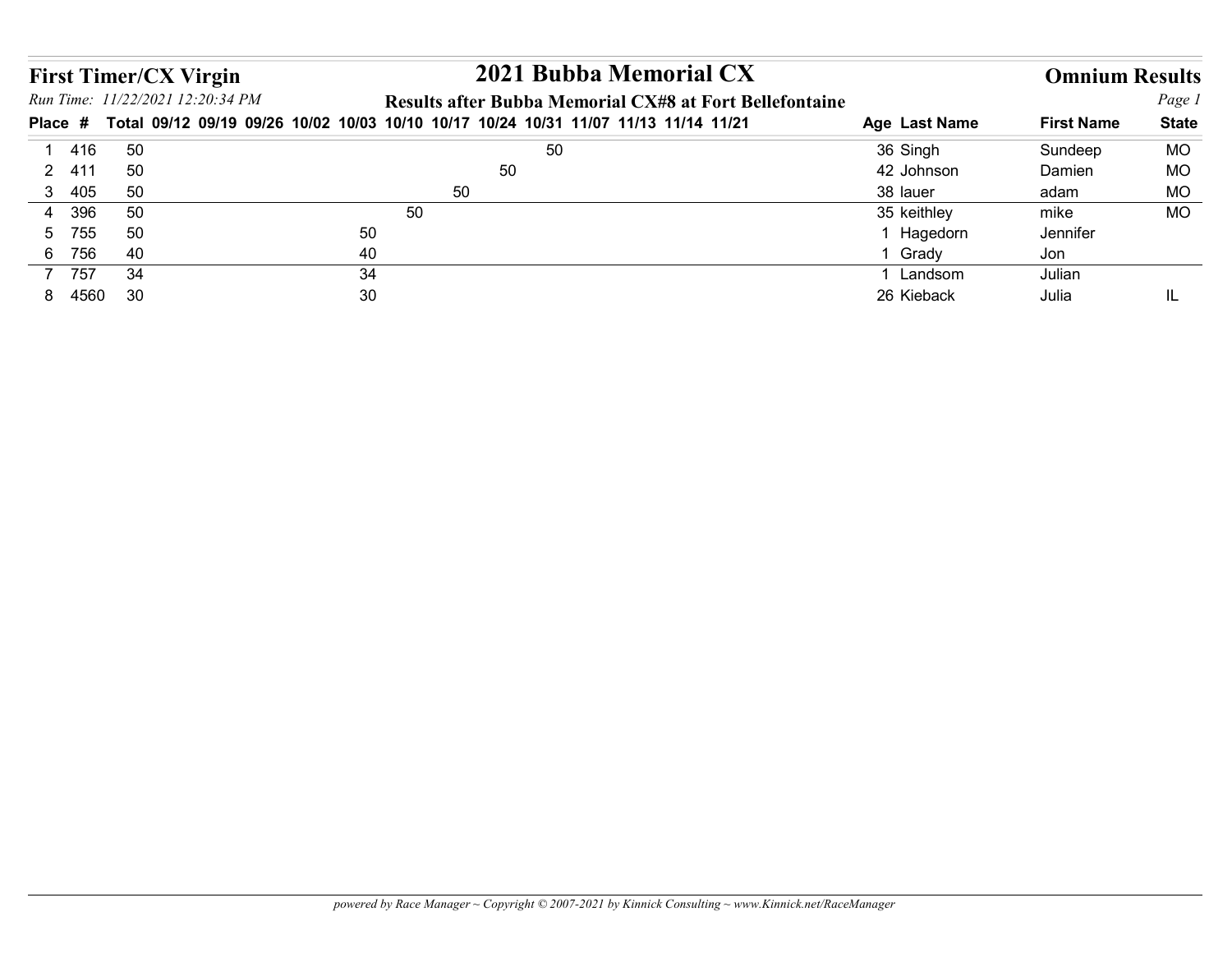|                  | <b>First Timer/CX Virgin</b><br>Run Time: 11/22/2021 12:20:34 PM | 2021 Bubba Memorial CX                                                                                                                         |                         | <b>Omnium Results</b> | Page 1       |
|------------------|------------------------------------------------------------------|------------------------------------------------------------------------------------------------------------------------------------------------|-------------------------|-----------------------|--------------|
|                  |                                                                  | Results after Bubba Memorial CX#8 at Fort Bellefontaine<br>Total 09/12 09/19 09/26 10/02 10/03 10/10 10/17 10/24 10/31 11/07 11/13 11/14 11/21 | Age Last Name           | <b>First Name</b>     | <b>State</b> |
| 1 416            | 50                                                               | 50                                                                                                                                             | 36 Singh                | Sundeep               | <b>MO</b>    |
| 2 411            | 50                                                               | 50                                                                                                                                             | 42 Johnson              | Damien                | <b>MO</b>    |
| Place #<br>3 405 | 50                                                               | 50                                                                                                                                             | 38 lauer                | adam                  | <b>MO</b>    |
| 4 396            | 50                                                               | 50                                                                                                                                             | 35 keithley             | mike                  | <b>MO</b>    |
| 5 755            | 50                                                               | 50                                                                                                                                             | 1 Hagedorn              | Jennifer              |              |
| 6 756            | 40                                                               | 40                                                                                                                                             | 1 Grady                 | Jon                   |              |
| 7 757<br>8 4560  | 34<br>30                                                         | 34<br>30                                                                                                                                       | 1 Landsom<br>26 Kieback | Julian<br>Julia       | IL           |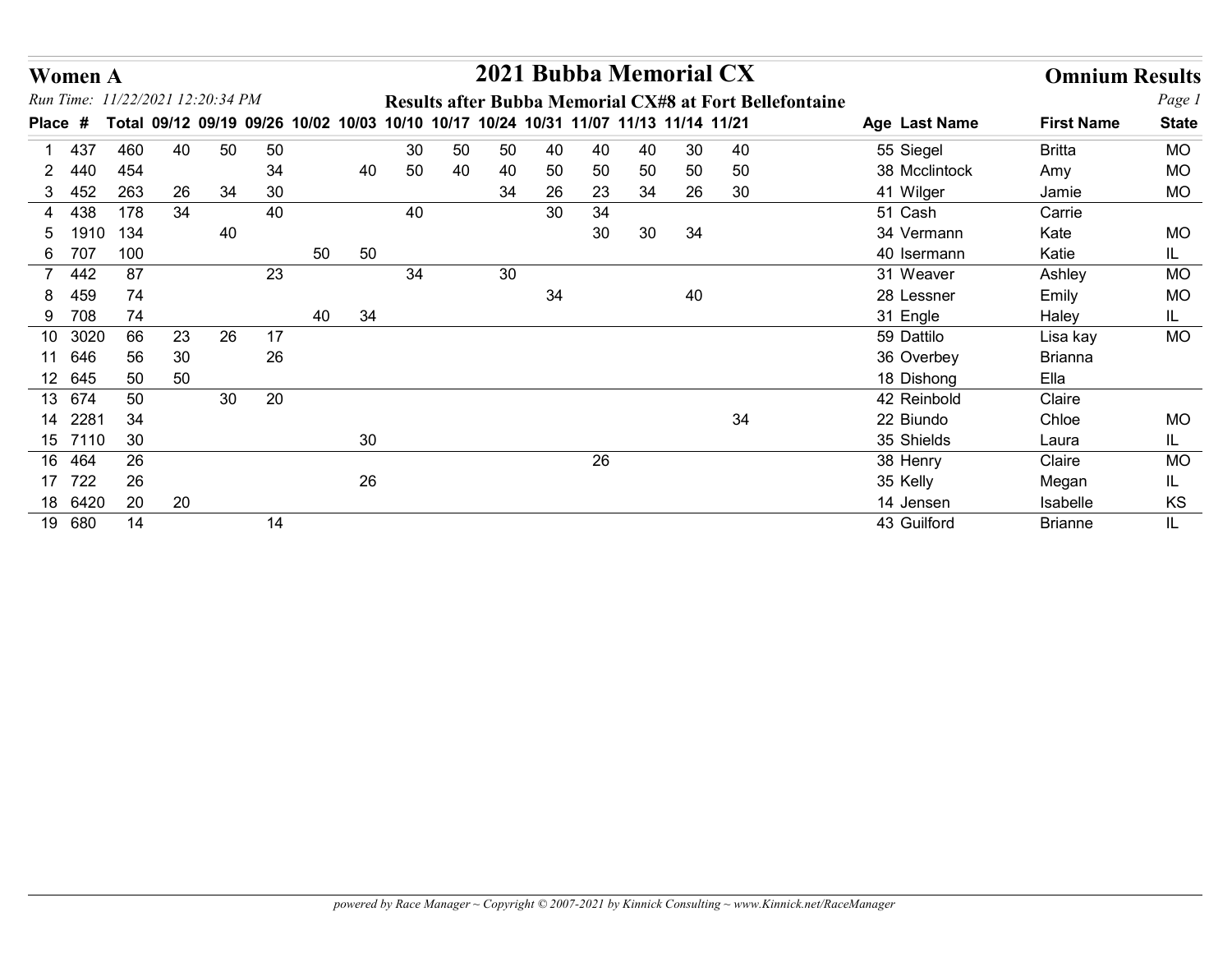| <b>Women A</b>     |              |                                  |    |    |                                                                               |          |    | 2021 Bubba Memorial CX |    |    |    |    |                                                                |               | <b>Omnium Results</b> |              |
|--------------------|--------------|----------------------------------|----|----|-------------------------------------------------------------------------------|----------|----|------------------------|----|----|----|----|----------------------------------------------------------------|---------------|-----------------------|--------------|
|                    |              | Run Time: 11/22/2021 12:20:34 PM |    |    |                                                                               |          |    |                        |    |    |    |    | <b>Results after Bubba Memorial CX#8 at Fort Bellefontaine</b> |               |                       | Page 1       |
| <b>Place</b><br>#  | <b>Total</b> |                                  |    |    | 09/12 09/19 09/26 10/02 10/03 10/10 10/17 10/24 10/31 11/07 11/13 11/14 11/21 |          |    |                        |    |    |    |    |                                                                | Age Last Name | <b>First Name</b>     | <b>State</b> |
| 437                |              | 460<br>40                        | 50 | 50 |                                                                               | 30       | 50 | 50                     | 40 | 40 | 40 | 30 | 40                                                             | 55 Siegel     | <b>Britta</b>         | <b>MO</b>    |
| 440<br>2           |              | 454                              |    | 34 |                                                                               | 40<br>50 | 40 | 40                     | 50 | 50 | 50 | 50 | 50                                                             | 38 Mcclintock | Amy                   | MO           |
| 452<br>3           |              | 263<br>26                        | 34 | 30 |                                                                               |          |    | 34                     | 26 | 23 | 34 | 26 | 30                                                             | 41 Wilger     | Jamie                 | <b>MO</b>    |
| 438<br>4           |              | 178<br>34                        |    | 40 |                                                                               | 40       |    |                        | 30 | 34 |    |    |                                                                | 51 Cash       | Carrie                |              |
| 5                  | 1910         | 134                              | 40 |    |                                                                               |          |    |                        |    | 30 | 30 | 34 |                                                                | 34 Vermann    | Kate                  | MO           |
| 6 707              |              | 100                              |    |    | 50                                                                            | 50       |    |                        |    |    |    |    |                                                                | 40 Isermann   | Katie                 | IL.          |
| 442<br>$7^{\circ}$ |              | 87                               |    | 23 |                                                                               | 34       |    | 30                     |    |    |    |    |                                                                | 31 Weaver     | Ashley                | <b>MO</b>    |
| 459<br>8           |              | 74                               |    |    |                                                                               |          |    |                        | 34 |    |    | 40 |                                                                | 28 Lessner    | Emily                 | <b>MO</b>    |
| 9 708              |              | 74                               |    |    | 40                                                                            | 34       |    |                        |    |    |    |    |                                                                | 31 Engle      | Haley                 | IL.          |
| 10 3020            |              | 66<br>23                         | 26 | 17 |                                                                               |          |    |                        |    |    |    |    |                                                                | 59 Dattilo    | Lisa kay              | <b>MO</b>    |
| 11 646             |              | 56<br>30                         |    | 26 |                                                                               |          |    |                        |    |    |    |    |                                                                | 36 Overbey    | <b>Brianna</b>        |              |
| 12 645             |              | 50<br>50                         |    |    |                                                                               |          |    |                        |    |    |    |    |                                                                | 18 Dishong    | Ella                  |              |
| 13 674             |              | 50                               | 30 | 20 |                                                                               |          |    |                        |    |    |    |    |                                                                | 42 Reinbold   | Claire                |              |
| 14 2281            |              | 34                               |    |    |                                                                               |          |    |                        |    |    |    |    | 34                                                             | 22 Biundo     | Chloe                 | <b>MO</b>    |
| 15 7110            |              | 30                               |    |    |                                                                               | $30\,$   |    |                        |    |    |    |    |                                                                | 35 Shields    | Laura                 | IL.          |
| 16 464             |              | 26                               |    |    |                                                                               |          |    |                        |    | 26 |    |    |                                                                | 38 Henry      | Claire                | <b>MO</b>    |
| 17 722             |              | $26\,$                           |    |    |                                                                               | 26       |    |                        |    |    |    |    |                                                                | 35 Kelly      | Megan                 | IL.          |
| 18 6420            |              | 20<br>20                         |    |    |                                                                               |          |    |                        |    |    |    |    |                                                                | 14 Jensen     | Isabelle              | KS           |
| 19 680             |              | 14                               |    | 14 |                                                                               |          |    |                        |    |    |    |    |                                                                | 43 Guilford   | <b>Brianne</b>        | IL.          |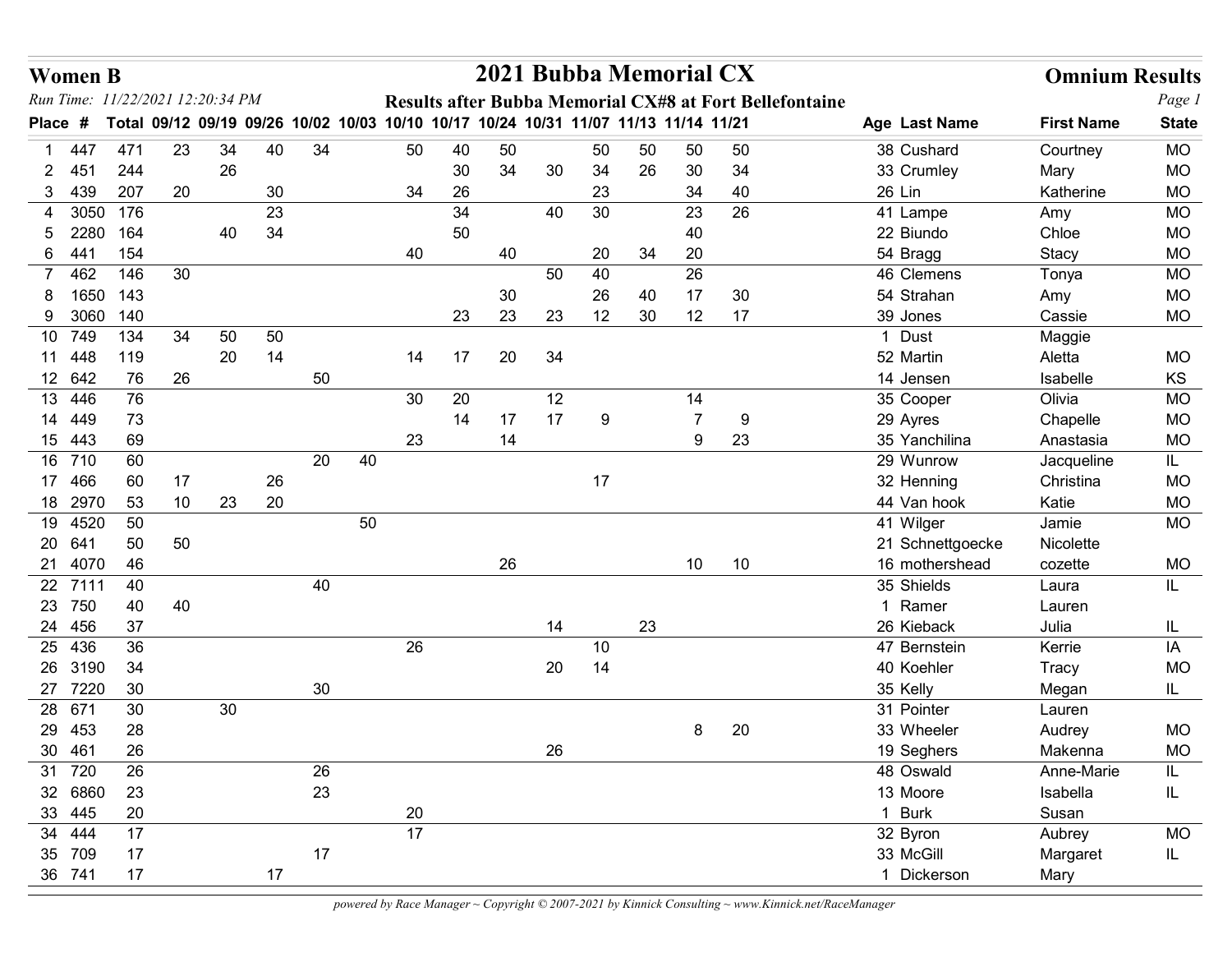|              | <b>Women B</b>           |                                  |          |    |          |    |    |                                                                                     |          |    | 2021 Bubba Memorial CX |          |    |                          |                                                         |                            | <b>Omnium Results</b> |                        |
|--------------|--------------------------|----------------------------------|----------|----|----------|----|----|-------------------------------------------------------------------------------------|----------|----|------------------------|----------|----|--------------------------|---------------------------------------------------------|----------------------------|-----------------------|------------------------|
|              |                          | Run Time: 11/22/2021 12:20:34 PM |          |    |          |    |    |                                                                                     |          |    |                        |          |    |                          | Results after Bubba Memorial CX#8 at Fort Bellefontaine |                            |                       | Page 1                 |
| <b>Place</b> | #                        |                                  |          |    |          |    |    | Total 09/12 09/19 09/26 10/02 10/03 10/10 10/17 10/24 10/31 11/07 11/13 11/14 11/21 |          |    |                        |          |    |                          |                                                         | Age Last Name              | <b>First Name</b>     | <b>State</b>           |
|              | 447                      | 471<br>244                       | 23       | 34 | 40       | 34 |    | 50                                                                                  | 40       | 50 |                        | 50       | 50 | 50                       | 50                                                      | 38 Cushard                 | Courtney              | <b>MO</b>              |
| 3            | 451<br>439               | 207                              | 20       | 26 | 30       |    |    | 34                                                                                  | 30<br>26 | 34 | 30                     | 34<br>23 | 26 | 30<br>34                 | 34<br>40                                                | 33 Crumley<br>26 Lin       | Mary<br>Katherine     | <b>MO</b><br><b>MO</b> |
| 4            |                          | 3050 176                         |          |    | 23       |    |    |                                                                                     | 34       |    | 40                     | 30       |    | 23                       | 26                                                      | 41 Lampe                   | Amy                   | MO                     |
| 5.           | 2280                     | 164                              |          | 40 | 34       |    |    |                                                                                     | 50       |    |                        |          |    | 40                       |                                                         | 22 Biundo                  | Chloe                 | <b>MO</b>              |
| 6.           | -441                     | 154                              |          |    |          |    |    | 40                                                                                  |          | 40 |                        | 20       | 34 | 20                       |                                                         | 54 Bragg                   | Stacy                 | <b>MO</b>              |
|              | 462                      | 146                              | 30       |    |          |    |    |                                                                                     |          |    | 50                     | 40       |    | 26                       |                                                         | 46 Clemens                 | Tonya                 | <b>MO</b>              |
|              |                          | 1650 143                         |          |    |          |    |    |                                                                                     |          | 30 |                        | 26       | 40 | 17                       | 30                                                      | 54 Strahan                 | Amy                   | <b>MO</b>              |
|              | 9 3060<br>749            | 140<br>134                       | 34       | 50 | 50       |    |    |                                                                                     | 23       | 23 | 23                     | 12       | 30 | 12                       | 17                                                      | 39 Jones<br>1 Dust         | Cassie                | MO                     |
| 10           | 11 448                   | 119                              |          | 20 | 14       |    |    | 14                                                                                  | 17       | 20 | 34                     |          |    |                          |                                                         | 52 Martin                  | Maggie<br>Aletta      | <b>MO</b>              |
|              | 12 642                   | 76                               | 26       |    |          | 50 |    |                                                                                     |          |    |                        |          |    |                          |                                                         | 14 Jensen                  | Isabelle              | KS                     |
| 13           | 446                      | 76                               |          |    |          |    |    | 30                                                                                  | 20       |    | 12                     |          |    | 14                       |                                                         | 35 Cooper                  | Olivia                | MO                     |
|              | 14 449                   | 73                               |          |    |          |    |    |                                                                                     | 14       | 17 | 17                     | 9        |    | $\overline{\phantom{a}}$ | 9                                                       | 29 Ayres                   | Chapelle              | <b>MO</b>              |
|              | 15 443                   | 69                               |          |    |          |    |    | 23                                                                                  |          | 14 |                        |          |    | 9                        | 23                                                      | 35 Yanchilina              | Anastasia             | MO                     |
|              | 16 710                   | 60                               |          |    |          | 20 | 40 |                                                                                     |          |    |                        |          |    |                          |                                                         | 29 Wunrow                  | Jacqueline            | IL.                    |
|              | 17 466<br>18 2970        | 60<br>53                         | 17<br>10 | 23 | 26<br>20 |    |    |                                                                                     |          |    |                        | 17       |    |                          |                                                         | 32 Henning<br>44 Van hook  | Christina<br>Katie    | MO<br>MO               |
|              | 19 4520                  | 50                               |          |    |          |    | 50 |                                                                                     |          |    |                        |          |    |                          |                                                         | 41 Wilger                  | Jamie                 | <b>MO</b>              |
|              | 20 641                   | 50                               | 50       |    |          |    |    |                                                                                     |          |    |                        |          |    |                          |                                                         | 21 Schnettgoecke           | Nicolette             |                        |
|              | 21 4070                  | 46                               |          |    |          |    |    |                                                                                     |          | 26 |                        |          |    | 10 <sup>°</sup>          | 10                                                      | 16 mothershead             | cozette               | MO                     |
|              | 22 7111                  | 40                               |          |    |          | 40 |    |                                                                                     |          |    |                        |          |    |                          |                                                         | 35 Shields                 | Laura                 | IL                     |
|              | 23 750                   | 40                               | 40       |    |          |    |    |                                                                                     |          |    |                        |          |    |                          |                                                         | 1 Ramer                    | Lauren                |                        |
|              | 24 456<br>25 436         | 37<br>36                         |          |    |          |    |    | 26                                                                                  |          |    | 14                     |          | 23 |                          |                                                         | 26 Kieback<br>47 Bernstein | Julia<br>Kerrie       | IL.<br>IA              |
|              | 26 3190                  | 34                               |          |    |          |    |    |                                                                                     |          |    | $20\,$                 | 10<br>14 |    |                          |                                                         | 40 Koehler                 | Tracy                 | <b>MO</b>              |
|              | 27 7220                  | 30                               |          |    |          | 30 |    |                                                                                     |          |    |                        |          |    |                          |                                                         | 35 Kelly                   | Megan                 | IL.                    |
|              | 28 671                   | 30                               |          | 30 |          |    |    |                                                                                     |          |    |                        |          |    |                          |                                                         | 31 Pointer                 | Lauren                |                        |
|              | 29 453                   | 28                               |          |    |          |    |    |                                                                                     |          |    |                        |          |    | 8                        | 20                                                      | 33 Wheeler                 | Audrey                | <b>MO</b>              |
|              | 30 461                   | 26                               |          |    |          |    |    |                                                                                     |          |    | 26                     |          |    |                          |                                                         | 19 Seghers                 | Makenna               | <b>MO</b>              |
|              | 31 720                   | 26                               |          |    |          | 26 |    |                                                                                     |          |    |                        |          |    |                          |                                                         | 48 Oswald                  | Anne-Marie            | IL                     |
|              | 32 6860                  | 23                               |          |    |          | 23 |    |                                                                                     |          |    |                        |          |    |                          |                                                         | 13 Moore                   | Isabella              | IL.                    |
|              | 33 445<br>$34 \quad 444$ | 20<br>17                         |          |    |          |    |    | 20<br>17                                                                            |          |    |                        |          |    |                          |                                                         | 1 Burk                     | Susan                 | MO                     |
|              | 35 709                   | 17                               |          |    |          | 17 |    |                                                                                     |          |    |                        |          |    |                          |                                                         | 32 Byron<br>33 McGill      | Aubrey<br>Margaret    | IL.                    |
|              | 36 741                   | 17                               |          |    | 17       |    |    |                                                                                     |          |    |                        |          |    |                          |                                                         | 1 Dickerson                | Mary                  |                        |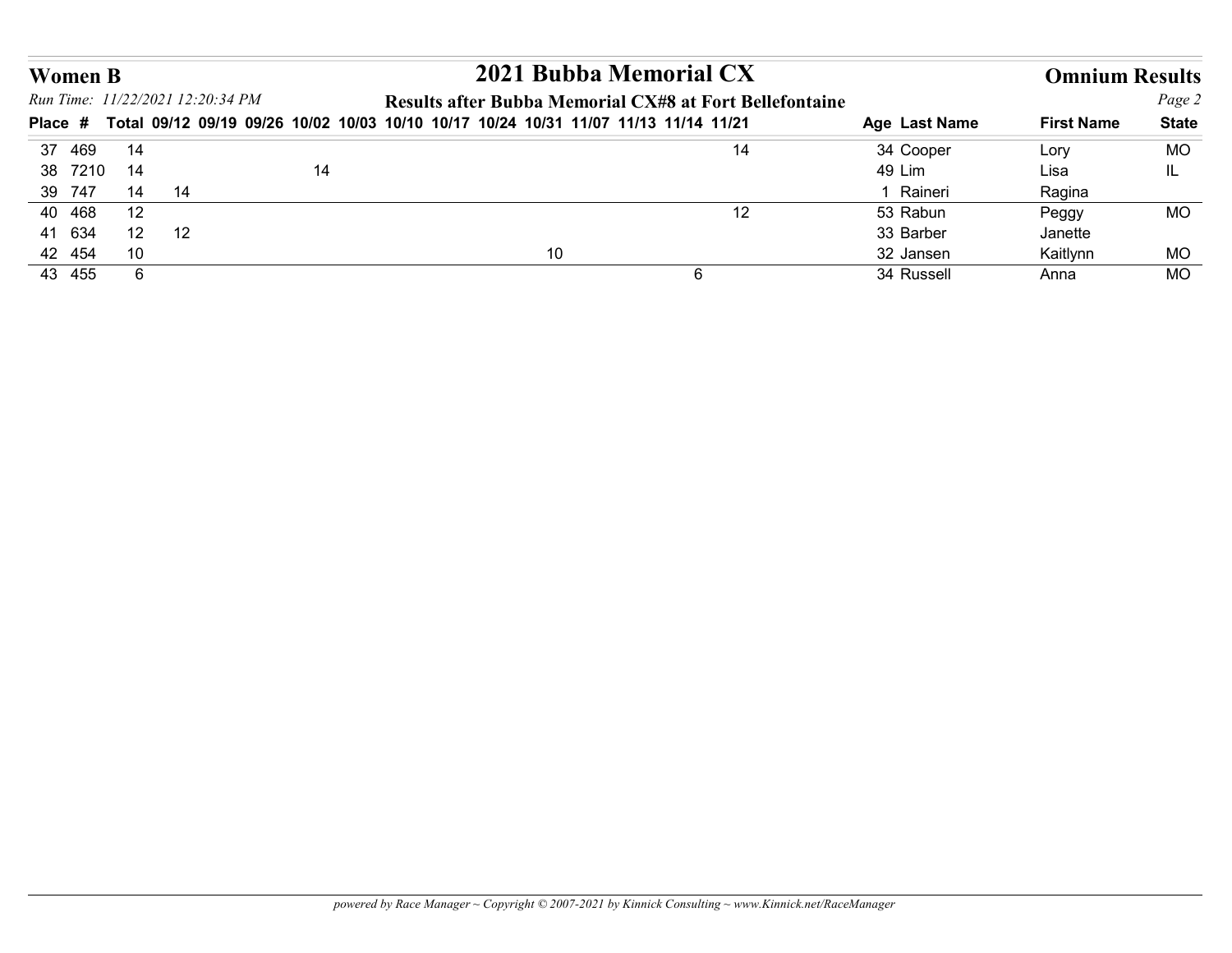| <b>Women B</b>   |                       |                                  |    |                                                                                             |                         |                       |                 |
|------------------|-----------------------|----------------------------------|----|---------------------------------------------------------------------------------------------|-------------------------|-----------------------|-----------------|
|                  |                       |                                  |    | 2021 Bubba Memorial CX                                                                      |                         | <b>Omnium Results</b> |                 |
|                  |                       | Run Time: 11/22/2021 12:20:34 PM |    | Results after Bubba Memorial CX#8 at Fort Bellefontaine                                     |                         |                       | Page 2          |
|                  |                       |                                  |    | Place # Total 09/12 09/19 09/26 10/02 10/03 10/10 10/17 10/24 10/31 11/07 11/13 11/14 11/21 | Age Last Name           | <b>First Name</b>     | <b>State</b>    |
| 37 469           | 14                    |                                  |    | 14                                                                                          | 34 Cooper               | Lory                  | <b>MO</b>       |
| 38 7210          | 14                    |                                  | 14 |                                                                                             | 49 Lim                  | Lisa                  | IL.             |
| 39 747           | 14                    | 14                               |    |                                                                                             | 1 Raineri               | Ragina                |                 |
| 40 468           | 12                    |                                  |    | 12                                                                                          | 53 Rabun                | Peggy                 | <b>MO</b>       |
| 41 634           | 12                    | 12                               |    |                                                                                             | 33 Barber               | Janette               |                 |
| 42 454<br>43 455 | 10<br>$6\phantom{.}6$ |                                  |    | 10<br>$6\overline{6}$                                                                       | 32 Jansen<br>34 Russell | Kaitlynn<br>Anna      | MO<br><b>MO</b> |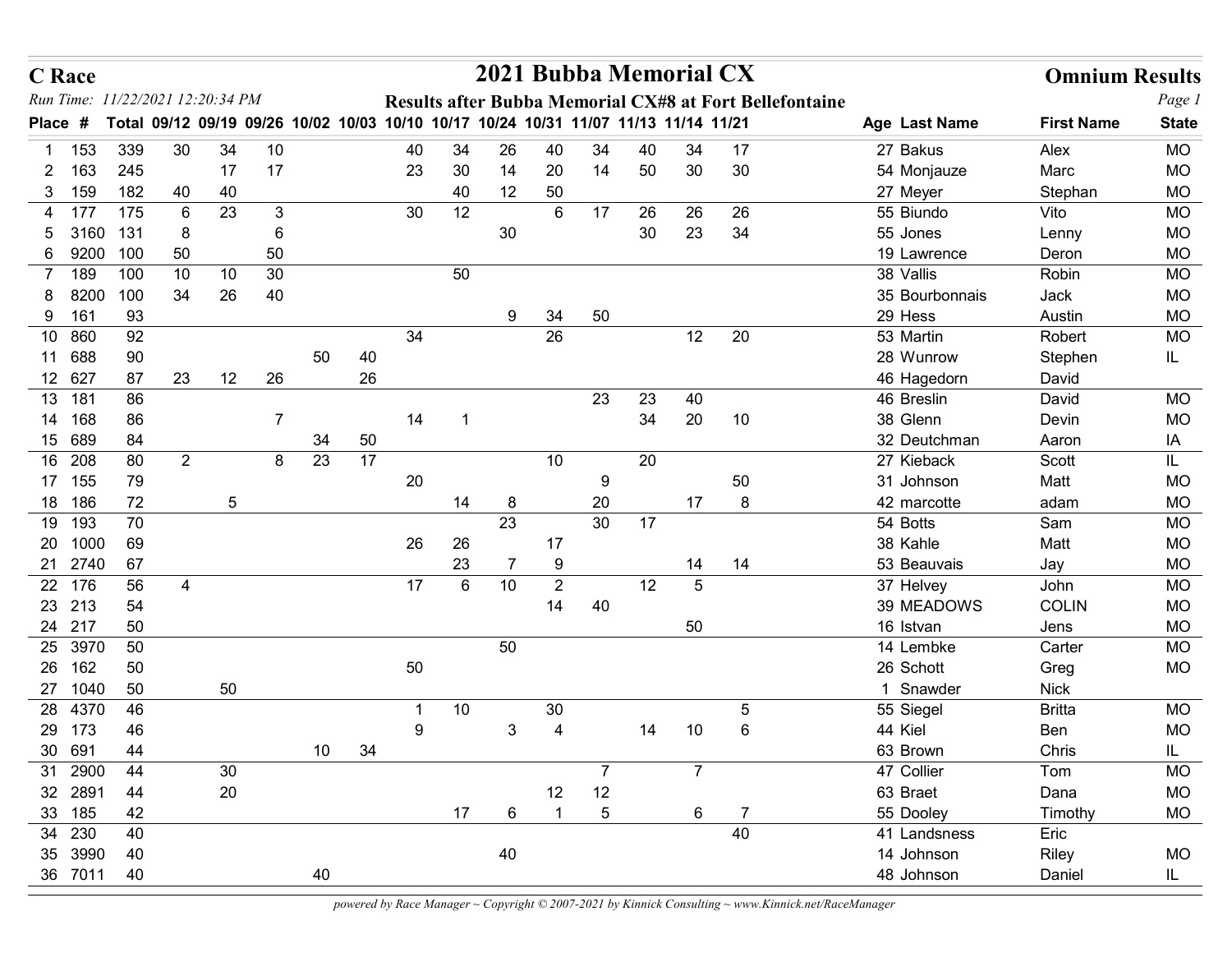| <b>C</b> Race        |                                  |                |                |                |                                                                                     |          |         |              |                | 2021 Bubba Memorial CX   |                |                   |                 |                                                         |                          | <b>Omnium Results</b> |                        |
|----------------------|----------------------------------|----------------|----------------|----------------|-------------------------------------------------------------------------------------|----------|---------|--------------|----------------|--------------------------|----------------|-------------------|-----------------|---------------------------------------------------------|--------------------------|-----------------------|------------------------|
|                      | Run Time: 11/22/2021 12:20:34 PM |                |                |                |                                                                                     |          |         |              |                |                          |                |                   |                 | Results after Bubba Memorial CX#8 at Fort Bellefontaine |                          |                       | Page 1                 |
| Place #              |                                  |                |                |                | Total 09/12 09/19 09/26 10/02 10/03 10/10 10/17 10/24 10/31 11/07 11/13 11/14 11/21 |          |         |              |                |                          |                |                   |                 |                                                         | Age Last Name            | <b>First Name</b>     | <b>State</b>           |
| 153                  | 339                              | 30             | 34             | 10             |                                                                                     |          | 40      | 34           | 26             | 40                       | 34             | 40                | 34              | 17                                                      | 27 Bakus                 | Alex                  | <b>MO</b>              |
| 163<br>2<br>159<br>3 | 245<br>182                       | 40             | 17<br>40       | 17             |                                                                                     |          | 23      | 30<br>40     | 14<br>12       | 20<br>50                 | 14             | 50                | 30              | 30                                                      | 54 Monjauze<br>27 Meyer  | Marc<br>Stephan       | <b>MO</b><br><b>MO</b> |
| 4 177                | 175                              | 6              | 23             | 3              |                                                                                     |          | 30      | 12           |                | 6                        | 17             | 26                | 26              | 26                                                      | 55 Biundo                | Vito                  | <b>MO</b>              |
| 3160<br>5            | 131                              | 8              |                | 6              |                                                                                     |          |         |              | 30             |                          |                | 30                | 23              | 34                                                      | 55 Jones                 | Lenny                 | <b>MO</b>              |
| 9200<br>6            | 100                              | 50             |                | 50             |                                                                                     |          |         |              |                |                          |                |                   |                 |                                                         | 19 Lawrence              | Deron                 | <b>MO</b>              |
| 189<br>7             | 100                              | 10             | 10             | 30             |                                                                                     |          |         | 50           |                |                          |                |                   |                 |                                                         | 38 Vallis                | Robin                 | <b>MO</b>              |
| 8200<br>8            | 100                              | 34             | 26             | 40             |                                                                                     |          |         |              |                |                          |                |                   |                 |                                                         | 35 Bourbonnais           | Jack                  | <b>MO</b>              |
| 161<br>9             | 93                               |                |                |                |                                                                                     |          |         |              | 9              | 34                       | 50             |                   |                 |                                                         | 29 Hess                  | Austin                | <b>MO</b>              |
| 10 860               | 92                               |                |                |                |                                                                                     |          | 34      |              |                | 26                       |                |                   | 12              | 20                                                      | 53 Martin                | Robert                | <b>MO</b>              |
| 11 688<br>12 627     | 90<br>87                         | 23             | 12             | 26             | 50                                                                                  | 40<br>26 |         |              |                |                          |                |                   |                 |                                                         | 28 Wunrow<br>46 Hagedorn | Stephen<br>David      | IL.                    |
| 13<br>181            | 86                               |                |                |                |                                                                                     |          |         |              |                |                          | 23             | 23                | 40              |                                                         | 46 Breslin               | David                 | <b>MO</b>              |
| 168<br>14            | 86                               |                |                | $\overline{7}$ |                                                                                     |          | 14      |              |                |                          |                | 34                | $20\,$          | 10                                                      | 38 Glenn                 | Devin                 | <b>MO</b>              |
| 15 689               | 84                               |                |                |                | 34                                                                                  | 50       |         |              |                |                          |                |                   |                 |                                                         | 32 Deutchman             | Aaron                 | IA                     |
| 16 208               | 80                               | $\overline{2}$ |                | 8              | 23                                                                                  | 17       |         |              |                | 10                       |                | 20                |                 |                                                         | 27 Kieback               | Scott                 | IL.                    |
| 17 155               | 79                               |                |                |                |                                                                                     |          | 20      |              |                |                          | 9              |                   |                 | 50                                                      | 31 Johnson               | Matt                  | MO                     |
| 18 186               | 72                               |                | $\overline{5}$ |                |                                                                                     |          |         | 14           | 8              |                          | 20             |                   | 17              | $\,8\,$                                                 | 42 marcotte              | adam                  | <b>MO</b>              |
| 19 193<br>20 1000    | 70<br>69                         |                |                |                |                                                                                     |          | 26      |              | 23             | 17                       | $30\,$         | $17$              |                 |                                                         | 54 Botts<br>38 Kahle     | Sam<br>Matt           | <b>MO</b><br><b>MO</b> |
| 21 2740              | 67                               |                |                |                |                                                                                     |          |         | $26\,$<br>23 |                | $\boldsymbol{9}$         |                |                   | 14              | 14                                                      | 53 Beauvais              | Jay                   | $MO$                   |
| 22 176               | 56                               | $\overline{4}$ |                |                |                                                                                     |          | 17      | 6            | 10             | $\overline{2}$           |                | $12 \overline{ }$ | $5\phantom{.0}$ |                                                         | 37 Helvey                | John                  | <b>MO</b>              |
| 23 213               | 54                               |                |                |                |                                                                                     |          |         |              |                | 14                       | 40             |                   |                 |                                                         | 39 MEADOWS               | <b>COLIN</b>          | <b>MO</b>              |
| 24 217               | 50                               |                |                |                |                                                                                     |          |         |              |                |                          |                |                   | 50              |                                                         | 16 Istvan                | Jens                  | <b>MO</b>              |
| 25 3970              | 50                               |                |                |                |                                                                                     |          |         |              | 50             |                          |                |                   |                 |                                                         | 14 Lembke                | Carter                | <b>MO</b>              |
| 26 162               | 50                               |                |                |                |                                                                                     |          | 50      |              |                |                          |                |                   |                 |                                                         | 26 Schott                | Greg                  | MO                     |
| 27 1040              | 50                               |                | 50             |                |                                                                                     |          |         |              |                |                          |                |                   |                 |                                                         | 1 Snawder                | <b>Nick</b>           |                        |
| 28 4370<br>29 173    | 46<br>46                         |                |                |                |                                                                                     |          | -1<br>9 | 10           | $\mathfrak{S}$ | $30\,$<br>$\overline{4}$ |                | 14                |                 | $\sqrt{5}$<br>$\,6\,$                                   | 55 Siegel<br>44 Kiel     | <b>Britta</b><br>Ben  | MO<br><b>MO</b>        |
| 30 691               | 44                               |                |                |                | 10                                                                                  | 34       |         |              |                |                          |                |                   | 10              |                                                         | 63 Brown                 | Chris                 | IL.                    |
| 31 2900              | 44                               |                | 30             |                |                                                                                     |          |         |              |                |                          | $\overline{7}$ |                   | $\overline{7}$  |                                                         | 47 Collier               | Tom                   | MO                     |
| 32 2891              | 44                               |                | 20             |                |                                                                                     |          |         |              |                | 12                       | 12             |                   |                 |                                                         | 63 Braet                 | Dana                  | <b>MO</b>              |
| 33 185               | 42                               |                |                |                |                                                                                     |          |         | 17           | 6              |                          | $\sqrt{5}$     |                   | 6               | $\overline{7}$                                          | 55 Dooley                | Timothy               | MO                     |
| 34 230               | 40                               |                |                |                |                                                                                     |          |         |              |                |                          |                |                   |                 | 40                                                      | 41 Landsness             | Eric                  |                        |
| 35 3990              | 40                               |                |                |                |                                                                                     |          |         |              | 40             |                          |                |                   |                 |                                                         | 14 Johnson               | Riley                 | MO                     |
| 36 7011              | 40                               |                |                |                | 40                                                                                  |          |         |              |                |                          |                |                   |                 |                                                         | 48 Johnson               | Daniel                | IL.                    |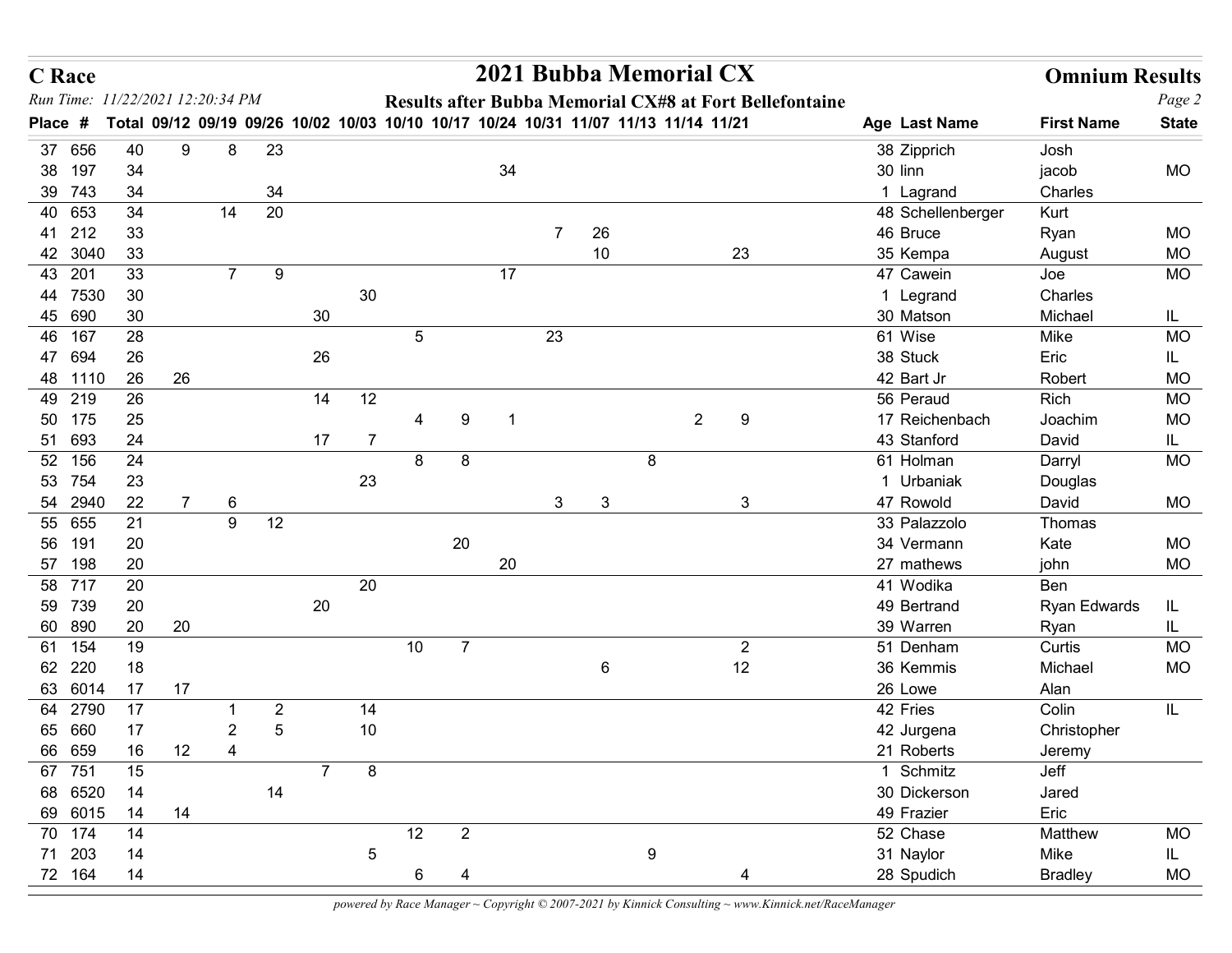| <b>C</b> Race                    |          |    |                |                  |                |                 |    |                |    |                |                |   | 2021 Bubba Memorial CX                                                              |                                                         |                          | <b>Omnium Results</b> |                  |
|----------------------------------|----------|----|----------------|------------------|----------------|-----------------|----|----------------|----|----------------|----------------|---|-------------------------------------------------------------------------------------|---------------------------------------------------------|--------------------------|-----------------------|------------------|
| Run Time: 11/22/2021 12:20:34 PM |          |    |                |                  |                |                 |    |                |    |                |                |   |                                                                                     | Results after Bubba Memorial CX#8 at Fort Bellefontaine |                          |                       | Page 2           |
| Place #                          |          |    |                |                  |                |                 |    |                |    |                |                |   | Total 09/12 09/19 09/26 10/02 10/03 10/10 10/17 10/24 10/31 11/07 11/13 11/14 11/21 |                                                         | Age Last Name            | <b>First Name</b>     | <b>State</b>     |
| 37 656                           | 40       | 9  | 8              | 23               |                |                 |    |                |    |                |                |   |                                                                                     |                                                         | 38 Zipprich              | Josh                  |                  |
| 38 197<br>39 743                 | 34<br>34 |    |                | 34               |                |                 |    |                | 34 |                |                |   |                                                                                     |                                                         | 30 linn<br>1 Lagrand     | jacob<br>Charles      | <b>MO</b>        |
| 40 653                           | 34       |    | 14             | 20               |                |                 |    |                |    |                |                |   |                                                                                     |                                                         | 48 Schellenberger        | Kurt                  |                  |
| 41 212                           | 33       |    |                |                  |                |                 |    |                |    | $\overline{7}$ | 26             |   |                                                                                     |                                                         | 46 Bruce                 | Ryan                  | MO               |
| 42 3040                          | 33       |    |                |                  |                |                 |    |                |    |                | 10             |   | 23                                                                                  |                                                         | 35 Kempa                 | August                | <b>MO</b>        |
| 43 201                           | 33       |    | $7^{\circ}$    | $\boldsymbol{9}$ |                |                 |    |                | 17 |                |                |   |                                                                                     |                                                         | 47 Cawein                | Joe                   | <b>MO</b>        |
| 44 7530                          | 30       |    |                |                  |                | 30              |    |                |    |                |                |   |                                                                                     |                                                         | 1 Legrand                | Charles               |                  |
| 45 690<br>46 167                 | 30<br>28 |    |                |                  | 30             |                 | 5  |                |    | 23             |                |   |                                                                                     |                                                         | 30 Matson<br>61 Wise     | Michael<br>Mike       | IL.<br><b>MO</b> |
| 47 694                           | 26       |    |                |                  | 26             |                 |    |                |    |                |                |   |                                                                                     |                                                         | 38 Stuck                 | Eric                  | IL.              |
| 48 1110                          | 26       | 26 |                |                  |                |                 |    |                |    |                |                |   |                                                                                     |                                                         | 42 Bart Jr               | Robert                | <b>MO</b>        |
| 49 219                           | 26       |    |                |                  | 14             | 12              |    |                |    |                |                |   |                                                                                     |                                                         | 56 Peraud                | Rich                  | MO               |
| 175<br>50                        | 25       |    |                |                  |                |                 | 4  | 9              |    |                |                |   | $\overline{2}$<br>9                                                                 |                                                         | 17 Reichenbach           | Joachim               | <b>MO</b>        |
| 51 693                           | 24       |    |                |                  | 17             | $\overline{7}$  |    |                |    |                |                |   |                                                                                     |                                                         | 43 Stanford              | David                 | IL.              |
| 52 156<br>53 754                 | 24<br>23 |    |                |                  |                | 23              | 8  | 8              |    |                |                | 8 |                                                                                     |                                                         | 61 Holman<br>1 Urbaniak  | Darryl                | MO               |
| 54 2940                          | 22       | 7  | 6              |                  |                |                 |    |                |    | 3              | 3              |   | $\mathbf{3}$                                                                        |                                                         | 47 Rowold                | Douglas<br>David      | MO               |
| 55 655                           | 21       |    | $9\,$          | $12$             |                |                 |    |                |    |                |                |   |                                                                                     |                                                         | 33 Palazzolo             | Thomas                |                  |
| 56 191                           | 20       |    |                |                  |                |                 |    | $20\,$         |    |                |                |   |                                                                                     |                                                         | 34 Vermann               | Kate                  | MO               |
| 57 198                           | 20       |    |                |                  |                |                 |    |                | 20 |                |                |   |                                                                                     |                                                         | 27 mathews               | john                  | MO               |
| 58 717                           | 20       |    |                |                  |                | 20              |    |                |    |                |                |   |                                                                                     |                                                         | 41 Wodika                | Ben                   |                  |
| 59 739<br>60 890                 | 20<br>20 | 20 |                |                  | 20             |                 |    |                |    |                |                |   |                                                                                     |                                                         | 49 Bertrand<br>39 Warren | Ryan Edwards<br>Ryan  | IL.<br>IL.       |
| 61 154                           | 19       |    |                |                  |                |                 | 10 | $\overline{7}$ |    |                |                |   | $\overline{2}$                                                                      |                                                         | 51 Denham                | Curtis                | MO               |
| 62 220                           | 18       |    |                |                  |                |                 |    |                |    |                | $6\phantom{.}$ |   | 12                                                                                  |                                                         | 36 Kemmis                | Michael               | <b>MO</b>        |
| 63 6014                          | 17       | 17 |                |                  |                |                 |    |                |    |                |                |   |                                                                                     |                                                         | 26 Lowe                  | Alan                  |                  |
| 64 2790                          | 17       |    | -1             | $\overline{2}$   |                | 14              |    |                |    |                |                |   |                                                                                     |                                                         | 42 Fries                 | Colin                 | IL.              |
| 65 660                           | 17       |    | $\overline{2}$ | $\sqrt{5}$       |                | 10              |    |                |    |                |                |   |                                                                                     |                                                         | 42 Jurgena               | Christopher           |                  |
| 66 659<br>67 751                 | 16<br>15 | 12 | $\overline{4}$ |                  | $\overline{7}$ | $\,8\,$         |    |                |    |                |                |   |                                                                                     |                                                         | 21 Roberts<br>1 Schmitz  | Jeremy<br>Jeff        |                  |
| 68 6520                          | 14       |    |                | 14               |                |                 |    |                |    |                |                |   |                                                                                     |                                                         | 30 Dickerson             | Jared                 |                  |
| 69 6015                          | 14       | 14 |                |                  |                |                 |    |                |    |                |                |   |                                                                                     |                                                         | 49 Frazier               | Eric                  |                  |
| 70 174                           | 14       |    |                |                  |                |                 | 12 | $\overline{2}$ |    |                |                |   |                                                                                     |                                                         | 52 Chase                 | Matthew               | MO               |
| 71 203                           | 14       |    |                |                  |                | $5\phantom{.0}$ |    |                |    |                |                | 9 |                                                                                     |                                                         | 31 Naylor                | Mike                  | IL.              |
| 72 164                           | 14       |    |                |                  |                |                 | 6  |                |    |                |                |   |                                                                                     |                                                         | 28 Spudich               | <b>Bradley</b>        | MO               |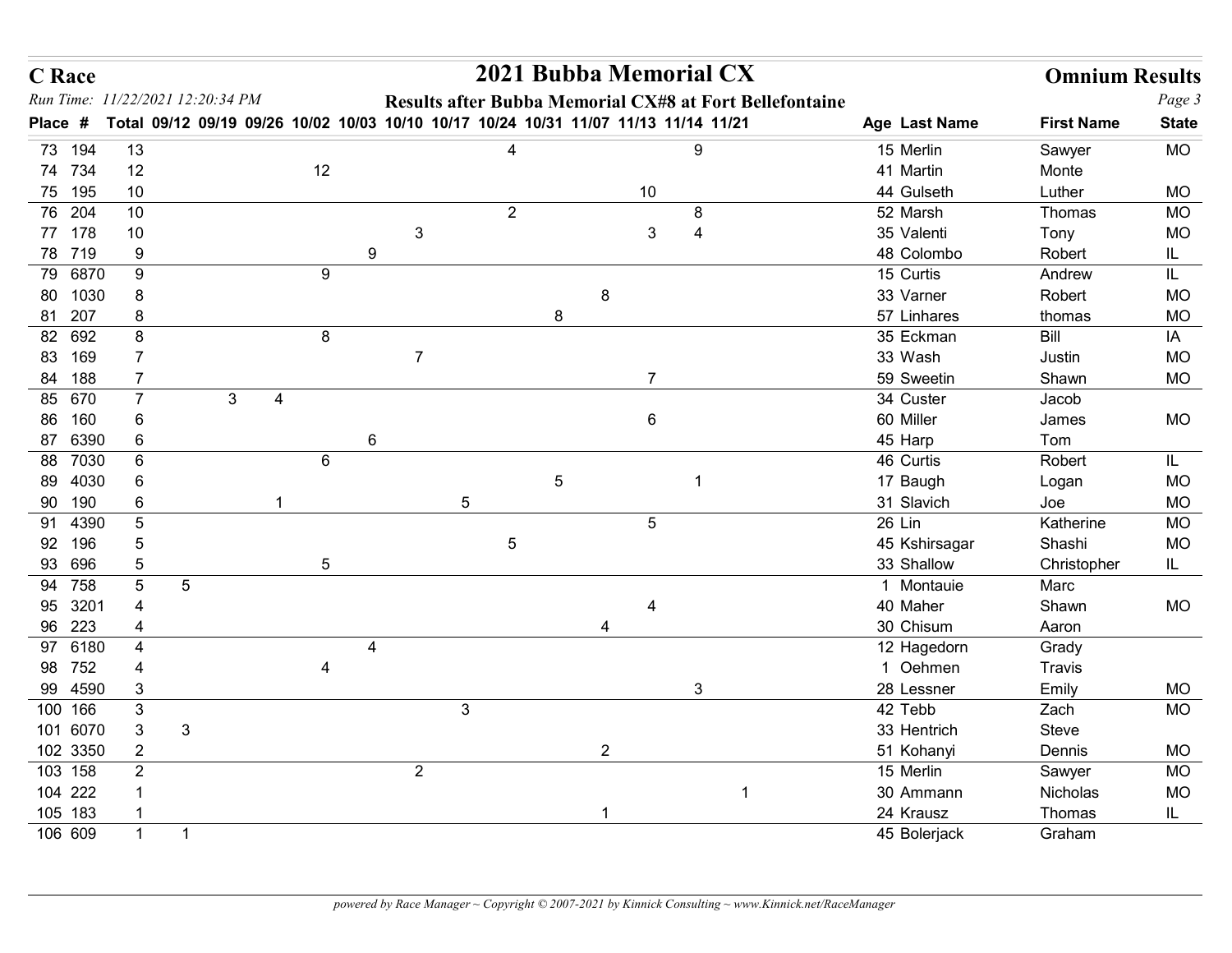| <b>C</b> Race       |                            |                                                                                     |   |            |                |                |                |            |                 | 2021 Bubba Memorial CX                                         |                            | <b>Omnium Results</b> |                 |
|---------------------|----------------------------|-------------------------------------------------------------------------------------|---|------------|----------------|----------------|----------------|------------|-----------------|----------------------------------------------------------------|----------------------------|-----------------------|-----------------|
|                     |                            | Run Time: 11/22/2021 12:20:34 PM                                                    |   |            |                |                |                |            |                 | <b>Results after Bubba Memorial CX#8 at Fort Bellefontaine</b> |                            |                       | Page 3          |
| Place #             |                            | Total 09/12 09/19 09/26 10/02 10/03 10/10 10/17 10/24 10/31 11/07 11/13 11/14 11/21 |   |            |                |                |                |            |                 |                                                                | Age Last Name<br>15 Merlin | <b>First Name</b>     | <b>State</b>    |
| 73 194<br>74 734    | 13<br>12                   |                                                                                     |   | 12         |                |                |                |            |                 | 9                                                              | 41 Martin                  | Sawyer<br>Monte       | <b>MO</b>       |
| 75 195              | 10                         |                                                                                     |   |            |                |                |                |            | 10              |                                                                | 44 Gulseth                 | Luther                | <b>MO</b>       |
| 76 204              | 10                         |                                                                                     |   |            |                |                | $\overline{2}$ |            |                 | 8                                                              | 52 Marsh                   | Thomas                | MO              |
| 77 178              | 10                         |                                                                                     |   |            |                | 3              |                |            | 3               | $\boldsymbol{4}$                                               | 35 Valenti                 | Tony                  | <b>MO</b>       |
| 78 719              | $9\,$                      |                                                                                     |   |            | 9              |                |                |            |                 |                                                                | 48 Colombo                 | Robert                | IL              |
| 79 6870             | 9                          |                                                                                     |   | 9          |                |                |                |            |                 |                                                                | 15 Curtis                  | Andrew                | IL              |
| 80 1030             | 8                          |                                                                                     |   |            |                |                |                |            | 8               |                                                                | 33 Varner                  | Robert                | MO              |
| 81 207<br>82 692    | 8<br>8                     |                                                                                     |   | 8          |                |                |                | 8          |                 |                                                                | 57 Linhares<br>35 Eckman   | thomas<br>Bill        | MO              |
| 83 169              | $\overline{7}$             |                                                                                     |   |            |                | $\overline{7}$ |                |            |                 |                                                                | 33 Wash                    | Justin                | ΙA<br>MO        |
| 84 188              | $\overline{7}$             |                                                                                     |   |            |                |                |                |            | $\overline{7}$  |                                                                | 59 Sweetin                 | Shawn                 | <b>MO</b>       |
| 85 670              |                            | 3                                                                                   | 4 |            |                |                |                |            |                 |                                                                | 34 Custer                  | Jacob                 |                 |
| 86 160              | $\,6$                      |                                                                                     |   |            |                |                |                |            | $6\phantom{.}6$ |                                                                | 60 Miller                  | James                 | <b>MO</b>       |
| 87 6390             | $\,6\,$                    |                                                                                     |   |            | 6              |                |                |            |                 |                                                                | 45 Harp                    | Tom                   |                 |
| 88 7030             | $\,6\,$                    |                                                                                     |   | 6          |                |                |                |            |                 |                                                                | 46 Curtis                  | Robert                | IL.             |
| 89 4030             | $\,6$                      |                                                                                     |   |            |                |                |                | $\sqrt{5}$ |                 |                                                                | 17 Baugh                   | Logan                 | <b>MO</b>       |
| 90 190<br>91 4390   | $\,6\,$<br>$\sqrt{5}$      |                                                                                     |   |            |                | 5              |                |            | $5\phantom{.0}$ |                                                                | 31 Slavich<br>26 Lin       | Joe<br>Katherine      | MO<br><b>MO</b> |
| 92 196              | $\sqrt{5}$                 |                                                                                     |   |            |                |                | $\sqrt{5}$     |            |                 |                                                                | 45 Kshirsagar              | Shashi                | MO              |
| 93 696              | $\sqrt{5}$                 |                                                                                     |   | $\sqrt{5}$ |                |                |                |            |                 |                                                                | 33 Shallow                 | Christopher           | IL.             |
| 94 758              | $\sqrt{5}$                 | $\sqrt{5}$                                                                          |   |            |                |                |                |            |                 |                                                                | 1 Montauie                 | Marc                  |                 |
| 95 3201             | 4                          |                                                                                     |   |            |                |                |                |            |                 |                                                                | 40 Maher                   | Shawn                 | MO              |
| 96 223              | 4                          |                                                                                     |   |            |                |                |                |            | 4               |                                                                | 30 Chisum                  | Aaron                 |                 |
| 97 6180             | 4                          |                                                                                     |   |            | $\overline{4}$ |                |                |            |                 |                                                                | 12 Hagedorn                | Grady                 |                 |
| 98 752              | 4                          |                                                                                     |   |            |                |                |                |            |                 |                                                                | 1 Oehmen                   | Travis                |                 |
| 99 4590             | $\sqrt{3}$                 |                                                                                     |   |            |                |                |                |            |                 | $\mathsf 3$                                                    | 28 Lessner<br>42 Tebb      | Emily                 | MO              |
| 100 166<br>101 6070 | $\sqrt{3}$<br>$\mathbf{3}$ | $\mathbf{3}$                                                                        |   |            |                | $\mathbf{3}$   |                |            |                 |                                                                | 33 Hentrich                | Zach<br>Steve         | <b>MO</b>       |
| 102 3350            | $\overline{2}$             |                                                                                     |   |            |                |                |                |            | $\overline{2}$  |                                                                | 51 Kohanyi                 | Dennis                | MO              |
| 103 158             | $\sqrt{2}$                 |                                                                                     |   |            |                | $\overline{2}$ |                |            |                 |                                                                | 15 Merlin                  | Sawyer                | MO              |
| 104 222             |                            |                                                                                     |   |            |                |                |                |            |                 |                                                                | 30 Ammann                  | Nicholas              | <b>MO</b>       |
| 105 183             |                            |                                                                                     |   |            |                |                |                |            | $\mathbf{1}$    |                                                                | 24 Krausz                  | Thomas                | IL.             |
| 106 609             | $\blacktriangleleft$       | -1                                                                                  |   |            |                |                |                |            |                 |                                                                | 45 Bolerjack               | Graham                |                 |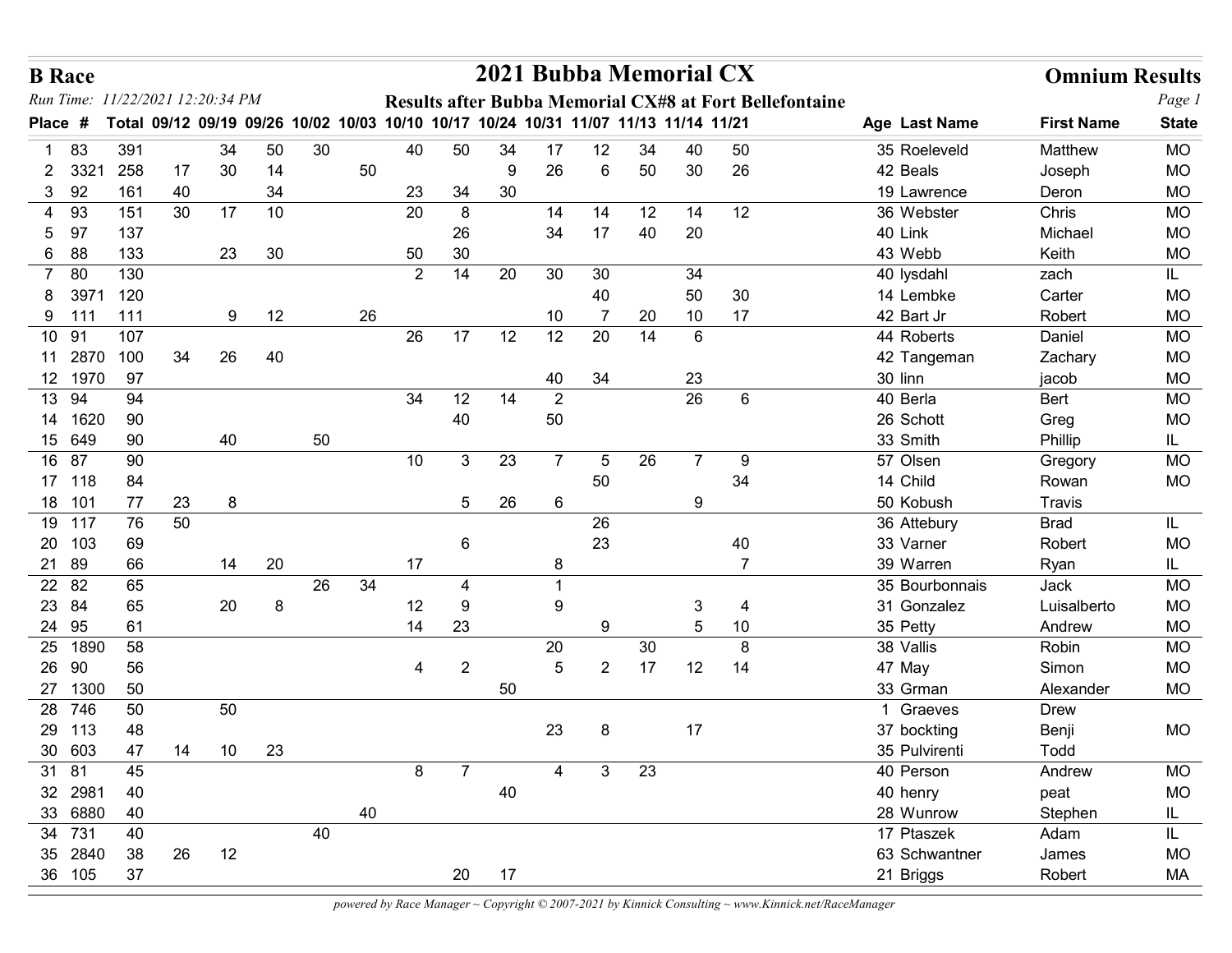| <b>B</b> Race          |                  |            |          |                        |          |    |    |                                                                                     |                |         | 2021 Bubba Memorial CX |                |                 |                 |                                                                |                            | <b>Omnium Results</b> |                        |
|------------------------|------------------|------------|----------|------------------------|----------|----|----|-------------------------------------------------------------------------------------|----------------|---------|------------------------|----------------|-----------------|-----------------|----------------------------------------------------------------|----------------------------|-----------------------|------------------------|
| Run Time:              |                  |            |          | 11/22/2021 12:20:34 PM |          |    |    |                                                                                     |                |         |                        |                |                 |                 | <b>Results after Bubba Memorial CX#8 at Fort Bellefontaine</b> |                            |                       | Page 1                 |
| Place #                |                  |            |          |                        |          |    |    | Total 09/12 09/19 09/26 10/02 10/03 10/10 10/17 10/24 10/31 11/07 11/13 11/14 11/21 |                |         |                        |                |                 |                 |                                                                | Age Last Name              | <b>First Name</b>     | <b>State</b>           |
| 83                     |                  | 391        |          | 34                     | 50       | 30 |    | 40                                                                                  | 50             | 34      | 17                     | 12             | 34              | 40              | 50                                                             | 35 Roeleveld               | Matthew               | <b>MO</b>              |
| $2 \quad 332'$<br>3 92 |                  | 258<br>161 | 17<br>40 | 30                     | 14<br>34 |    | 50 | 23                                                                                  | 34             | 9<br>30 | 26                     | 6              | 50              | 30              | 26                                                             | 42 Beals<br>19 Lawrence    | Joseph<br>Deron       | MO<br><b>MO</b>        |
| 4 93                   |                  | 151        | 30       | 17                     | 10       |    |    | 20                                                                                  | 8              |         | 14                     | 14             | 12 <sub>2</sub> | 14              | 12                                                             | 36 Webster                 | Chris                 | <b>MO</b>              |
| 97<br>5                |                  | 137        |          |                        |          |    |    |                                                                                     | 26             |         | 34                     | 17             | 40              | 20              |                                                                | 40 Link                    | Michael               | <b>MO</b>              |
| 88<br>6                |                  | 133        |          | 23                     | $30\,$   |    |    | 50                                                                                  | 30             |         |                        |                |                 |                 |                                                                | 43 Webb                    | Keith                 | <b>MO</b>              |
| 7 80                   |                  | 130        |          |                        |          |    |    | 2                                                                                   | 14             | 20      | 30                     | 30             |                 | 34              |                                                                | 40 lysdahl                 | zach                  | IL.                    |
|                        | 397 <sup>7</sup> | 120        |          |                        |          |    |    |                                                                                     |                |         |                        | 40             |                 | 50              | 30                                                             | 14 Lembke                  | Carter                | <b>MO</b>              |
| 9 111                  |                  | 111        |          | 9                      | 12       |    | 26 |                                                                                     |                |         | 10                     | $\overline{7}$ | 20              | 10 <sup>°</sup> | 17                                                             | 42 Bart Jr                 | Robert                | MO                     |
| 10 91                  |                  | 107        |          |                        |          |    |    | 26                                                                                  | 17             | 12      | 12                     | 20             | 14              | 6               |                                                                | 44 Roberts                 | Daniel                | <b>MO</b>              |
| 11 2870<br>12 1970     |                  | 100<br>97  | 34       | 26                     | 40       |    |    |                                                                                     |                |         | 40                     | 34             |                 | 23              |                                                                | 42 Tangeman<br>30 linn     | Zachary<br>jacob      | <b>MO</b><br><b>MO</b> |
| 13 94                  |                  | 94         |          |                        |          |    |    | 34                                                                                  | 12             | 14      | $\overline{2}$         |                |                 | 26              | 6                                                              | 40 Berla                   | Bert                  | MO                     |
| 14 1620                |                  | 90         |          |                        |          |    |    |                                                                                     | 40             |         | 50                     |                |                 |                 |                                                                | 26 Schott                  | Greg                  | <b>MO</b>              |
| 15 649                 |                  | 90         |          | 40                     |          | 50 |    |                                                                                     |                |         |                        |                |                 |                 |                                                                | 33 Smith                   | Phillip               | IL.                    |
| 16 87                  |                  | 90         |          |                        |          |    |    | 10                                                                                  | $\mathbf{3}$   | 23      | $\overline{7}$         | 5              | 26              | $\overline{7}$  | 9                                                              | 57 Olsen                   | Gregory               | <b>MO</b>              |
| 17 118                 |                  | 84         |          |                        |          |    |    |                                                                                     |                |         |                        | 50             |                 |                 | 34                                                             | 14 Child                   | Rowan                 | MO                     |
| 18 101                 |                  | 77         | 23       | 8                      |          |    |    |                                                                                     | 5 <sup>5</sup> | 26      | $6\phantom{.}6$        |                |                 | 9               |                                                                | 50 Kobush                  | Travis                |                        |
| 19 117                 |                  | 76         | 50       |                        |          |    |    |                                                                                     |                |         |                        | 26             |                 |                 |                                                                | 36 Attebury                | <b>Brad</b>           | IL.                    |
| 20 103                 |                  | 69<br>66   |          |                        |          |    |    | 17                                                                                  | 6              |         |                        | 23             |                 |                 | 40<br>$\overline{7}$                                           | 33 Varner<br>39 Warren     | Robert                | <b>MO</b>              |
| 21 89<br>22 82         |                  | 65         |          | 14                     | $20\,$   | 26 | 34 |                                                                                     | 4              |         | 8                      |                |                 |                 |                                                                | 35 Bourbonnais             | Ryan<br>Jack          | IL.<br><b>MO</b>       |
| 23 84                  |                  | 65         |          | 20                     | 8        |    |    | 12                                                                                  | 9              |         | $9\,$                  |                |                 | 3               | $\overline{4}$                                                 | 31 Gonzalez                | Luisalberto           | MO                     |
| 24 95                  |                  | 61         |          |                        |          |    |    | 14                                                                                  | 23             |         |                        | 9              |                 | 5               | 10                                                             | 35 Petty                   | Andrew                | <b>MO</b>              |
| 25 1890                |                  | 58         |          |                        |          |    |    |                                                                                     |                |         | 20                     |                | $30\,$          |                 | 8                                                              | 38 Vallis                  | Robin                 | <b>MO</b>              |
| 26 90                  |                  | 56         |          |                        |          |    |    | $\overline{4}$                                                                      | $\overline{2}$ |         | $\overline{5}$         | $\overline{2}$ | 17              | 12              | 14                                                             | 47 May                     | Simon                 | <b>MO</b>              |
| 27 1300                |                  | 50         |          |                        |          |    |    |                                                                                     |                | 50      |                        |                |                 |                 |                                                                | 33 Grman                   | Alexander             | MO                     |
| 28 746                 |                  | 50         |          | 50                     |          |    |    |                                                                                     |                |         |                        |                |                 |                 |                                                                | 1 Graeves                  | <b>Drew</b>           |                        |
| 29 113                 |                  | 48         |          |                        |          |    |    |                                                                                     |                |         | 23                     | 8              |                 | 17              |                                                                | 37 bockting                | Benji                 | MO                     |
| 30 603<br>31 81        |                  | 47<br>45   | 14       | 10                     | 23       |    |    | 8                                                                                   | 7              |         | 4                      | $\mathbf{3}$   | 23              |                 |                                                                | 35 Pulvirenti<br>40 Person | Todd<br>Andrew        | <b>MO</b>              |
| 32 2981                |                  | 40         |          |                        |          |    |    |                                                                                     |                | 40      |                        |                |                 |                 |                                                                | 40 henry                   | peat                  | <b>MO</b>              |
| 33 6880                |                  | 40         |          |                        |          |    | 40 |                                                                                     |                |         |                        |                |                 |                 |                                                                | 28 Wunrow                  | Stephen               | IL.                    |
| 34 731                 |                  | 40         |          |                        |          | 40 |    |                                                                                     |                |         |                        |                |                 |                 |                                                                | 17 Ptaszek                 | Adam                  | IL.                    |
| 35 2840                |                  | 38         | 26       | 12                     |          |    |    |                                                                                     |                |         |                        |                |                 |                 |                                                                | 63 Schwantner              | James                 | MO                     |
| 36 105                 |                  | 37         |          |                        |          |    |    |                                                                                     | 20             | 17      |                        |                |                 |                 |                                                                | 21 Briggs                  | Robert                | MA                     |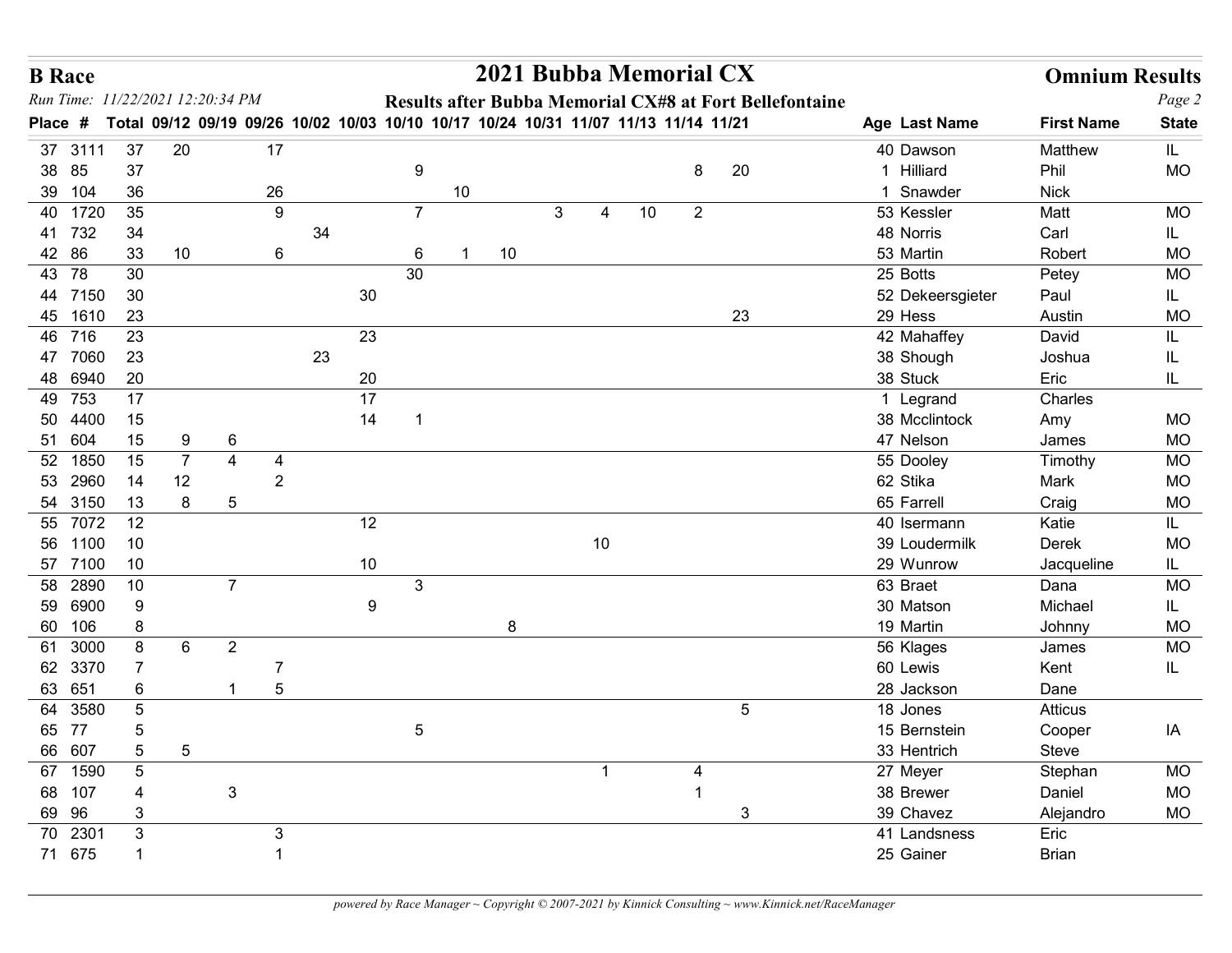| Run Time: 11/22/2021 12:20:34 PM<br>Results after Bubba Memorial CX#8 at Fort Bellefontaine<br>Total 09/12 09/19 09/26 10/02 10/03 10/10 10/17 10/24 10/31 11/07 11/13 11/14 11/21<br>Age Last Name<br><b>First Name</b><br>Place #<br>37<br>20<br>17<br>37 3111<br>40 Dawson<br>Matthew<br>IL.<br>38 85<br>37<br>20<br>1 Hilliard<br>9<br>8<br>Phil<br><b>MO</b><br>39 104<br>36<br>26<br>10<br>1 Snawder<br><b>Nick</b><br>40 1720<br>35<br>$\overline{7}$<br>10<br>53 Kessler<br>9<br>$\mathbf{3}$<br>$\overline{2}$<br><b>MO</b><br>Matt<br>4<br>41 732<br>34<br>34<br>48 Norris<br>Carl<br>IL.<br>42 86<br>33<br>$6\phantom{.}6$<br><b>MO</b><br>10<br>6<br>10<br>53 Martin<br>Robert<br>30<br>43 78<br>30<br>25 Botts<br><b>MO</b><br>Petey<br>44 7150<br>30<br>30<br>52 Dekeersgieter<br>Paul<br>IL.<br>23<br>23<br>45 1610<br>29 Hess<br><b>MO</b><br>Austin<br>23<br>23<br>46 716<br>42 Mahaffey<br>David<br>23<br>23<br>38 Shough<br>47 7060<br>Joshua<br>20<br>48 6940<br>20<br>38 Stuck<br>Eric<br>49 753<br>17<br>17<br>1 Legrand<br>Charles<br>50 4400<br>15<br>14<br>38 Mcclintock<br>MO<br>Amy<br>51 604<br>15<br>47 Nelson<br><b>MO</b><br>9<br>6<br>James<br>52 1850<br>15<br>$\overline{7}$<br>$\overline{4}$<br>55 Dooley<br>MO<br>Timothy<br>4<br>14<br>62 Stika<br>53 2960<br>12<br>$\overline{2}$<br>MO<br>Mark<br>13<br>8<br>65 Farrell<br>54 3150<br><b>MO</b><br>$\overline{5}$<br>Craig<br>55 7072<br>12<br>12<br>40 Isermann<br>Katie<br>IL.<br>$10\,$<br>10<br><b>MO</b><br>56 1100<br>39 Loudermilk<br>Derek<br>57 7100<br>10<br>$10$<br>29 Wunrow<br>Jacqueline<br>IL.<br>58 2890<br>10<br>$\mathbf{3}$<br>63 Braet<br>MO<br>$\overline{7}$<br>Dana<br>59 6900<br>$9\,$<br>30 Matson<br>9<br>Michael<br>IL.<br>60 106<br>19 Martin<br>8<br>8<br>Johnny<br>MO<br>61 3000<br>$6\phantom{.}6$<br>$\overline{2}$<br><b>MO</b><br>8<br>56 Klages<br>James<br>62 3370<br>60 Lewis<br>$\overline{7}$<br>Kent<br>IL.<br>63 651<br>28 Jackson<br>6<br>5<br>Dane<br>-1<br>$\sqrt{5}$<br>64 3580<br>$\sqrt{5}$<br>18 Jones<br>Atticus<br>65 77<br>$\overline{5}$<br>15 Bernstein<br>IA<br>$\overline{5}$<br>Cooper<br>66 607<br>5<br>$\overline{5}$<br>33 Hentrich<br>Steve<br>67 1590<br>$\sqrt{5}$<br>27 Meyer<br>MO<br>Stephan<br>-1<br>4<br>68 107<br>$\mathbf{3}$<br>38 Brewer<br>Daniel<br>MO<br>4<br>69 96<br>39 Chavez<br>3<br>$\mathbf{3}$<br>Alejandro<br>MO<br>70 2301<br>$\mathbf{3}$<br>41 Landsness<br>Eric<br>3 | Page 2<br><b>State</b>              | <b>B</b> Race |  |  |  |  | 2021 Bubba Memorial CX |  |  | <b>Omnium Results</b> |  |
|----------------------------------------------------------------------------------------------------------------------------------------------------------------------------------------------------------------------------------------------------------------------------------------------------------------------------------------------------------------------------------------------------------------------------------------------------------------------------------------------------------------------------------------------------------------------------------------------------------------------------------------------------------------------------------------------------------------------------------------------------------------------------------------------------------------------------------------------------------------------------------------------------------------------------------------------------------------------------------------------------------------------------------------------------------------------------------------------------------------------------------------------------------------------------------------------------------------------------------------------------------------------------------------------------------------------------------------------------------------------------------------------------------------------------------------------------------------------------------------------------------------------------------------------------------------------------------------------------------------------------------------------------------------------------------------------------------------------------------------------------------------------------------------------------------------------------------------------------------------------------------------------------------------------------------------------------------------------------------------------------------------------------------------------------------------------------------------------------------------------------------------------------------------------------------------------------------------------------------------------------------------------------------------------------------------------------------------------------------------------------------------------------------------------------------------------------|-------------------------------------|---------------|--|--|--|--|------------------------|--|--|-----------------------|--|
|                                                                                                                                                                                                                                                                                                                                                                                                                                                                                                                                                                                                                                                                                                                                                                                                                                                                                                                                                                                                                                                                                                                                                                                                                                                                                                                                                                                                                                                                                                                                                                                                                                                                                                                                                                                                                                                                                                                                                                                                                                                                                                                                                                                                                                                                                                                                                                                                                                                    |                                     |               |  |  |  |  |                        |  |  |                       |  |
|                                                                                                                                                                                                                                                                                                                                                                                                                                                                                                                                                                                                                                                                                                                                                                                                                                                                                                                                                                                                                                                                                                                                                                                                                                                                                                                                                                                                                                                                                                                                                                                                                                                                                                                                                                                                                                                                                                                                                                                                                                                                                                                                                                                                                                                                                                                                                                                                                                                    |                                     |               |  |  |  |  |                        |  |  |                       |  |
|                                                                                                                                                                                                                                                                                                                                                                                                                                                                                                                                                                                                                                                                                                                                                                                                                                                                                                                                                                                                                                                                                                                                                                                                                                                                                                                                                                                                                                                                                                                                                                                                                                                                                                                                                                                                                                                                                                                                                                                                                                                                                                                                                                                                                                                                                                                                                                                                                                                    |                                     |               |  |  |  |  |                        |  |  |                       |  |
|                                                                                                                                                                                                                                                                                                                                                                                                                                                                                                                                                                                                                                                                                                                                                                                                                                                                                                                                                                                                                                                                                                                                                                                                                                                                                                                                                                                                                                                                                                                                                                                                                                                                                                                                                                                                                                                                                                                                                                                                                                                                                                                                                                                                                                                                                                                                                                                                                                                    |                                     |               |  |  |  |  |                        |  |  |                       |  |
|                                                                                                                                                                                                                                                                                                                                                                                                                                                                                                                                                                                                                                                                                                                                                                                                                                                                                                                                                                                                                                                                                                                                                                                                                                                                                                                                                                                                                                                                                                                                                                                                                                                                                                                                                                                                                                                                                                                                                                                                                                                                                                                                                                                                                                                                                                                                                                                                                                                    |                                     |               |  |  |  |  |                        |  |  |                       |  |
|                                                                                                                                                                                                                                                                                                                                                                                                                                                                                                                                                                                                                                                                                                                                                                                                                                                                                                                                                                                                                                                                                                                                                                                                                                                                                                                                                                                                                                                                                                                                                                                                                                                                                                                                                                                                                                                                                                                                                                                                                                                                                                                                                                                                                                                                                                                                                                                                                                                    |                                     |               |  |  |  |  |                        |  |  |                       |  |
|                                                                                                                                                                                                                                                                                                                                                                                                                                                                                                                                                                                                                                                                                                                                                                                                                                                                                                                                                                                                                                                                                                                                                                                                                                                                                                                                                                                                                                                                                                                                                                                                                                                                                                                                                                                                                                                                                                                                                                                                                                                                                                                                                                                                                                                                                                                                                                                                                                                    |                                     |               |  |  |  |  |                        |  |  |                       |  |
|                                                                                                                                                                                                                                                                                                                                                                                                                                                                                                                                                                                                                                                                                                                                                                                                                                                                                                                                                                                                                                                                                                                                                                                                                                                                                                                                                                                                                                                                                                                                                                                                                                                                                                                                                                                                                                                                                                                                                                                                                                                                                                                                                                                                                                                                                                                                                                                                                                                    |                                     |               |  |  |  |  |                        |  |  |                       |  |
|                                                                                                                                                                                                                                                                                                                                                                                                                                                                                                                                                                                                                                                                                                                                                                                                                                                                                                                                                                                                                                                                                                                                                                                                                                                                                                                                                                                                                                                                                                                                                                                                                                                                                                                                                                                                                                                                                                                                                                                                                                                                                                                                                                                                                                                                                                                                                                                                                                                    |                                     |               |  |  |  |  |                        |  |  |                       |  |
|                                                                                                                                                                                                                                                                                                                                                                                                                                                                                                                                                                                                                                                                                                                                                                                                                                                                                                                                                                                                                                                                                                                                                                                                                                                                                                                                                                                                                                                                                                                                                                                                                                                                                                                                                                                                                                                                                                                                                                                                                                                                                                                                                                                                                                                                                                                                                                                                                                                    |                                     |               |  |  |  |  |                        |  |  |                       |  |
|                                                                                                                                                                                                                                                                                                                                                                                                                                                                                                                                                                                                                                                                                                                                                                                                                                                                                                                                                                                                                                                                                                                                                                                                                                                                                                                                                                                                                                                                                                                                                                                                                                                                                                                                                                                                                                                                                                                                                                                                                                                                                                                                                                                                                                                                                                                                                                                                                                                    |                                     |               |  |  |  |  |                        |  |  |                       |  |
|                                                                                                                                                                                                                                                                                                                                                                                                                                                                                                                                                                                                                                                                                                                                                                                                                                                                                                                                                                                                                                                                                                                                                                                                                                                                                                                                                                                                                                                                                                                                                                                                                                                                                                                                                                                                                                                                                                                                                                                                                                                                                                                                                                                                                                                                                                                                                                                                                                                    |                                     |               |  |  |  |  |                        |  |  |                       |  |
|                                                                                                                                                                                                                                                                                                                                                                                                                                                                                                                                                                                                                                                                                                                                                                                                                                                                                                                                                                                                                                                                                                                                                                                                                                                                                                                                                                                                                                                                                                                                                                                                                                                                                                                                                                                                                                                                                                                                                                                                                                                                                                                                                                                                                                                                                                                                                                                                                                                    |                                     |               |  |  |  |  |                        |  |  |                       |  |
|                                                                                                                                                                                                                                                                                                                                                                                                                                                                                                                                                                                                                                                                                                                                                                                                                                                                                                                                                                                                                                                                                                                                                                                                                                                                                                                                                                                                                                                                                                                                                                                                                                                                                                                                                                                                                                                                                                                                                                                                                                                                                                                                                                                                                                                                                                                                                                                                                                                    |                                     |               |  |  |  |  |                        |  |  |                       |  |
|                                                                                                                                                                                                                                                                                                                                                                                                                                                                                                                                                                                                                                                                                                                                                                                                                                                                                                                                                                                                                                                                                                                                                                                                                                                                                                                                                                                                                                                                                                                                                                                                                                                                                                                                                                                                                                                                                                                                                                                                                                                                                                                                                                                                                                                                                                                                                                                                                                                    |                                     |               |  |  |  |  |                        |  |  |                       |  |
|                                                                                                                                                                                                                                                                                                                                                                                                                                                                                                                                                                                                                                                                                                                                                                                                                                                                                                                                                                                                                                                                                                                                                                                                                                                                                                                                                                                                                                                                                                                                                                                                                                                                                                                                                                                                                                                                                                                                                                                                                                                                                                                                                                                                                                                                                                                                                                                                                                                    |                                     |               |  |  |  |  |                        |  |  |                       |  |
|                                                                                                                                                                                                                                                                                                                                                                                                                                                                                                                                                                                                                                                                                                                                                                                                                                                                                                                                                                                                                                                                                                                                                                                                                                                                                                                                                                                                                                                                                                                                                                                                                                                                                                                                                                                                                                                                                                                                                                                                                                                                                                                                                                                                                                                                                                                                                                                                                                                    |                                     |               |  |  |  |  |                        |  |  |                       |  |
|                                                                                                                                                                                                                                                                                                                                                                                                                                                                                                                                                                                                                                                                                                                                                                                                                                                                                                                                                                                                                                                                                                                                                                                                                                                                                                                                                                                                                                                                                                                                                                                                                                                                                                                                                                                                                                                                                                                                                                                                                                                                                                                                                                                                                                                                                                                                                                                                                                                    |                                     |               |  |  |  |  |                        |  |  |                       |  |
|                                                                                                                                                                                                                                                                                                                                                                                                                                                                                                                                                                                                                                                                                                                                                                                                                                                                                                                                                                                                                                                                                                                                                                                                                                                                                                                                                                                                                                                                                                                                                                                                                                                                                                                                                                                                                                                                                                                                                                                                                                                                                                                                                                                                                                                                                                                                                                                                                                                    |                                     |               |  |  |  |  |                        |  |  |                       |  |
|                                                                                                                                                                                                                                                                                                                                                                                                                                                                                                                                                                                                                                                                                                                                                                                                                                                                                                                                                                                                                                                                                                                                                                                                                                                                                                                                                                                                                                                                                                                                                                                                                                                                                                                                                                                                                                                                                                                                                                                                                                                                                                                                                                                                                                                                                                                                                                                                                                                    |                                     |               |  |  |  |  |                        |  |  |                       |  |
|                                                                                                                                                                                                                                                                                                                                                                                                                                                                                                                                                                                                                                                                                                                                                                                                                                                                                                                                                                                                                                                                                                                                                                                                                                                                                                                                                                                                                                                                                                                                                                                                                                                                                                                                                                                                                                                                                                                                                                                                                                                                                                                                                                                                                                                                                                                                                                                                                                                    |                                     |               |  |  |  |  |                        |  |  |                       |  |
|                                                                                                                                                                                                                                                                                                                                                                                                                                                                                                                                                                                                                                                                                                                                                                                                                                                                                                                                                                                                                                                                                                                                                                                                                                                                                                                                                                                                                                                                                                                                                                                                                                                                                                                                                                                                                                                                                                                                                                                                                                                                                                                                                                                                                                                                                                                                                                                                                                                    |                                     |               |  |  |  |  |                        |  |  |                       |  |
|                                                                                                                                                                                                                                                                                                                                                                                                                                                                                                                                                                                                                                                                                                                                                                                                                                                                                                                                                                                                                                                                                                                                                                                                                                                                                                                                                                                                                                                                                                                                                                                                                                                                                                                                                                                                                                                                                                                                                                                                                                                                                                                                                                                                                                                                                                                                                                                                                                                    |                                     |               |  |  |  |  |                        |  |  |                       |  |
|                                                                                                                                                                                                                                                                                                                                                                                                                                                                                                                                                                                                                                                                                                                                                                                                                                                                                                                                                                                                                                                                                                                                                                                                                                                                                                                                                                                                                                                                                                                                                                                                                                                                                                                                                                                                                                                                                                                                                                                                                                                                                                                                                                                                                                                                                                                                                                                                                                                    |                                     |               |  |  |  |  |                        |  |  |                       |  |
|                                                                                                                                                                                                                                                                                                                                                                                                                                                                                                                                                                                                                                                                                                                                                                                                                                                                                                                                                                                                                                                                                                                                                                                                                                                                                                                                                                                                                                                                                                                                                                                                                                                                                                                                                                                                                                                                                                                                                                                                                                                                                                                                                                                                                                                                                                                                                                                                                                                    |                                     |               |  |  |  |  |                        |  |  |                       |  |
|                                                                                                                                                                                                                                                                                                                                                                                                                                                                                                                                                                                                                                                                                                                                                                                                                                                                                                                                                                                                                                                                                                                                                                                                                                                                                                                                                                                                                                                                                                                                                                                                                                                                                                                                                                                                                                                                                                                                                                                                                                                                                                                                                                                                                                                                                                                                                                                                                                                    |                                     |               |  |  |  |  |                        |  |  |                       |  |
|                                                                                                                                                                                                                                                                                                                                                                                                                                                                                                                                                                                                                                                                                                                                                                                                                                                                                                                                                                                                                                                                                                                                                                                                                                                                                                                                                                                                                                                                                                                                                                                                                                                                                                                                                                                                                                                                                                                                                                                                                                                                                                                                                                                                                                                                                                                                                                                                                                                    |                                     |               |  |  |  |  |                        |  |  |                       |  |
|                                                                                                                                                                                                                                                                                                                                                                                                                                                                                                                                                                                                                                                                                                                                                                                                                                                                                                                                                                                                                                                                                                                                                                                                                                                                                                                                                                                                                                                                                                                                                                                                                                                                                                                                                                                                                                                                                                                                                                                                                                                                                                                                                                                                                                                                                                                                                                                                                                                    |                                     |               |  |  |  |  |                        |  |  |                       |  |
|                                                                                                                                                                                                                                                                                                                                                                                                                                                                                                                                                                                                                                                                                                                                                                                                                                                                                                                                                                                                                                                                                                                                                                                                                                                                                                                                                                                                                                                                                                                                                                                                                                                                                                                                                                                                                                                                                                                                                                                                                                                                                                                                                                                                                                                                                                                                                                                                                                                    |                                     |               |  |  |  |  |                        |  |  |                       |  |
|                                                                                                                                                                                                                                                                                                                                                                                                                                                                                                                                                                                                                                                                                                                                                                                                                                                                                                                                                                                                                                                                                                                                                                                                                                                                                                                                                                                                                                                                                                                                                                                                                                                                                                                                                                                                                                                                                                                                                                                                                                                                                                                                                                                                                                                                                                                                                                                                                                                    |                                     |               |  |  |  |  |                        |  |  |                       |  |
|                                                                                                                                                                                                                                                                                                                                                                                                                                                                                                                                                                                                                                                                                                                                                                                                                                                                                                                                                                                                                                                                                                                                                                                                                                                                                                                                                                                                                                                                                                                                                                                                                                                                                                                                                                                                                                                                                                                                                                                                                                                                                                                                                                                                                                                                                                                                                                                                                                                    | 71 675<br>25 Gainer<br><b>Brian</b> |               |  |  |  |  |                        |  |  |                       |  |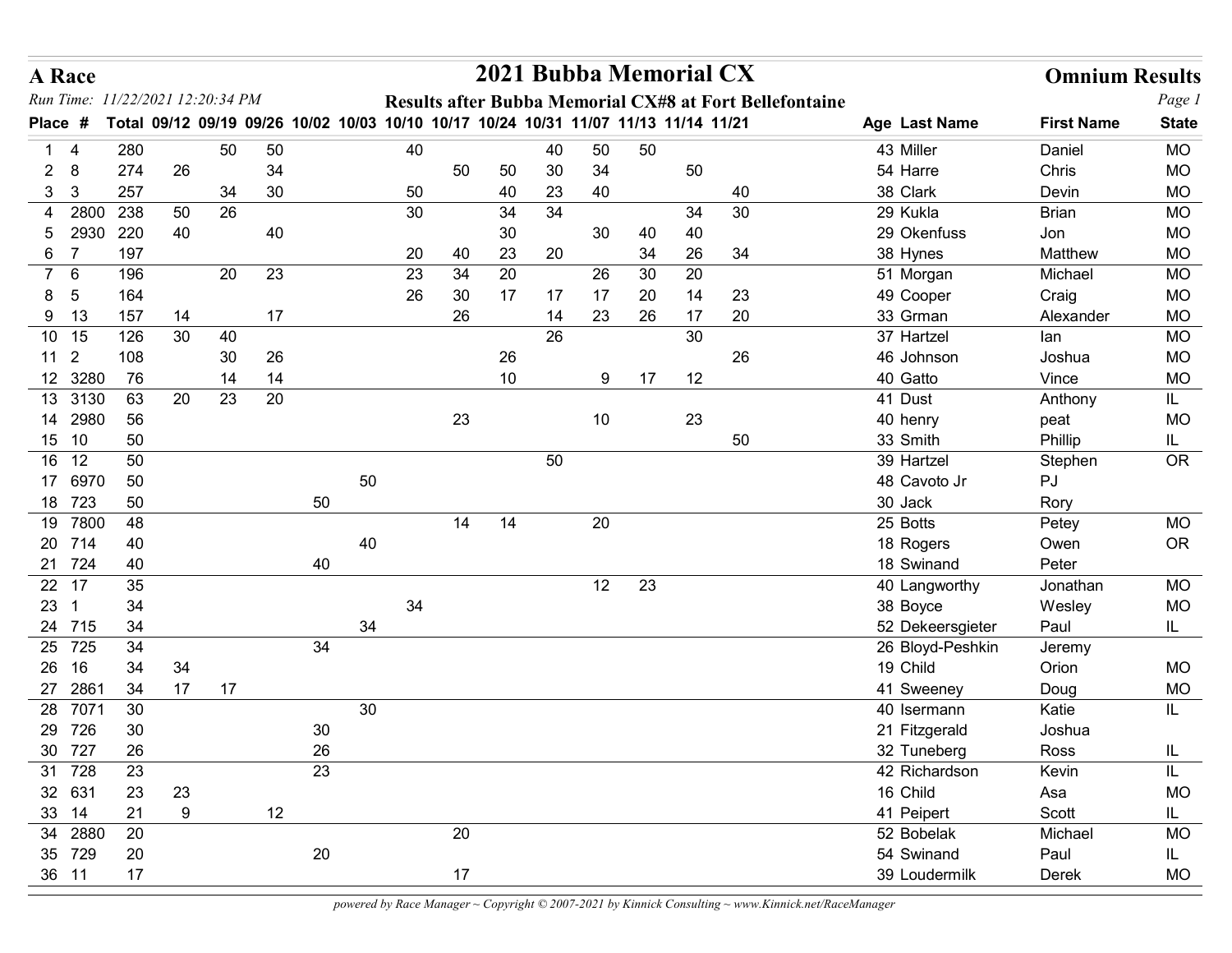|                     | A Race                |                        |          |    |          |                                                                                     |        |    |    |          | 2021 Bubba Memorial CX |          |    |          |                                                                |                              | <b>Omnium Results</b> |                        |
|---------------------|-----------------------|------------------------|----------|----|----------|-------------------------------------------------------------------------------------|--------|----|----|----------|------------------------|----------|----|----------|----------------------------------------------------------------|------------------------------|-----------------------|------------------------|
|                     | Run Time:             | 11/22/2021 12:20:34 PM |          |    |          |                                                                                     |        |    |    |          |                        |          |    |          | <b>Results after Bubba Memorial CX#8 at Fort Bellefontaine</b> |                              |                       | Page 1                 |
| Place #             |                       |                        |          |    |          | Total 09/12 09/19 09/26 10/02 10/03 10/10 10/17 10/24 10/31 11/07 11/13 11/14 11/21 |        |    |    |          |                        |          |    |          |                                                                | Age Last Name                | <b>First Name</b>     | <b>State</b>           |
|                     | -4                    | 280                    |          | 50 | 50       |                                                                                     |        | 40 |    |          | 40                     | 50       | 50 |          |                                                                | 43 Miller                    | Daniel                | <b>MO</b>              |
| $\overline{2}$<br>3 | 8<br>3                | 274<br>257             | 26       | 34 | 34<br>30 |                                                                                     |        | 50 | 50 | 50<br>40 | 30<br>23               | 34<br>40 |    | 50       | 40                                                             | 54 Harre<br>38 Clark         | Chris<br>Devin        | <b>MO</b><br><b>MO</b> |
|                     | 4 2800                | 238                    | 50       | 26 |          |                                                                                     |        | 30 |    | 34       | 34                     |          |    | 34       | 30                                                             | 29 Kukla                     | <b>Brian</b>          | <b>MO</b>              |
| 5                   | 2930                  | 220                    | 40       |    | 40       |                                                                                     |        |    |    | 30       |                        | 30       | 40 | 40       |                                                                | 29 Okenfuss                  | Jon                   | <b>MO</b>              |
| $6\overline{6}$     | $\overline{7}$        | 197                    |          |    |          |                                                                                     |        | 20 | 40 | 23       | 20                     |          | 34 | 26       | 34                                                             | 38 Hynes                     | Matthew               | <b>MO</b>              |
|                     | 7 6                   | 196                    |          | 20 | 23       |                                                                                     |        | 23 | 34 | 20       |                        | 26       | 30 | 20       |                                                                | 51 Morgan                    | Michael               | <b>MO</b>              |
| 8                   | -5                    | 164                    |          |    |          |                                                                                     |        | 26 | 30 | 17       | 17                     | 17       | 20 | 14       | 23                                                             | 49 Cooper                    | Craig                 | <b>MO</b>              |
|                     | 9 13<br>10 15         | 157<br>126             | 14<br>30 | 40 | 17       |                                                                                     |        |    | 26 |          | 14<br>26               | 23       | 26 | 17<br>30 | 20                                                             | 33 Grman<br>37 Hartzel       | Alexander<br>lan      | <b>MO</b><br><b>MO</b> |
|                     | $11 \quad 2$          | 108                    |          | 30 | 26       |                                                                                     |        |    |    | 26       |                        |          |    |          | 26                                                             | 46 Johnson                   | Joshua                | <b>MO</b>              |
|                     | 12 3280               | 76                     |          | 14 | 14       |                                                                                     |        |    |    | 10       |                        | 9        | 17 | 12       |                                                                | 40 Gatto                     | Vince                 | <b>MO</b>              |
|                     | 13 3130               | 63                     | 20       | 23 | 20       |                                                                                     |        |    |    |          |                        |          |    |          |                                                                | 41 Dust                      | Anthony               | IL.                    |
|                     | 14 2980               | 56                     |          |    |          |                                                                                     |        |    | 23 |          |                        | 10       |    | 23       |                                                                | 40 henry                     | peat                  | <b>MO</b>              |
|                     | 15 10                 | 50<br>50               |          |    |          |                                                                                     |        |    |    |          |                        |          |    |          | 50                                                             | 33 Smith                     | Phillip               | IL.                    |
|                     | 16 12<br>17 6970      | 50                     |          |    |          |                                                                                     | 50     |    |    |          | 50                     |          |    |          |                                                                | 39 Hartzel<br>48 Cavoto Jr   | Stephen<br>PJ         | OR                     |
|                     | 18 723                | 50                     |          |    |          | 50                                                                                  |        |    |    |          |                        |          |    |          |                                                                | 30 Jack                      | Rory                  |                        |
|                     | 19 7800               | 48                     |          |    |          |                                                                                     |        |    | 14 | 14       |                        | 20       |    |          |                                                                | 25 Botts                     | Petey                 | MO                     |
|                     | 20 714                | 40                     |          |    |          |                                                                                     | 40     |    |    |          |                        |          |    |          |                                                                | 18 Rogers                    | Owen                  | OR                     |
|                     | 21 724                | 40                     |          |    |          | 40                                                                                  |        |    |    |          |                        |          |    |          |                                                                | 18 Swinand                   | Peter                 |                        |
|                     | 22 17<br>$23 \quad 1$ | 35<br>34               |          |    |          |                                                                                     |        | 34 |    |          |                        | 12       | 23 |          |                                                                | 40 Langworthy<br>38 Boyce    | Jonathan<br>Wesley    | MO<br><b>MO</b>        |
|                     | 24 715                | 34                     |          |    |          |                                                                                     | 34     |    |    |          |                        |          |    |          |                                                                | 52 Dekeersgieter             | Paul                  | IL.                    |
|                     | 25 725                | 34                     |          |    |          | 34                                                                                  |        |    |    |          |                        |          |    |          |                                                                | 26 Bloyd-Peshkin             | Jeremy                |                        |
|                     | 26 16                 | 34                     | 34       |    |          |                                                                                     |        |    |    |          |                        |          |    |          |                                                                | 19 Child                     | Orion                 | MO                     |
|                     | 27 2861               | 34                     | 17       | 17 |          |                                                                                     |        |    |    |          |                        |          |    |          |                                                                | 41 Sweeney                   | Doug                  | $MO$                   |
|                     | 28 7071               | $30\,$                 |          |    |          |                                                                                     | $30\,$ |    |    |          |                        |          |    |          |                                                                | 40 Isermann                  | Katie                 | IL.                    |
|                     | 29 726                | $30\,$                 |          |    |          | 30 <sup>°</sup><br>26                                                               |        |    |    |          |                        |          |    |          |                                                                | 21 Fitzgerald                | Joshua                |                        |
|                     | 30 727<br>31 728      | 26<br>23               |          |    |          | 23                                                                                  |        |    |    |          |                        |          |    |          |                                                                | 32 Tuneberg<br>42 Richardson | Ross<br>Kevin         | IL<br>IL               |
|                     | 32 631                | 23                     | 23       |    |          |                                                                                     |        |    |    |          |                        |          |    |          |                                                                | 16 Child                     | Asa                   | <b>MO</b>              |
|                     | 33 14                 | 21                     | $9\,$    |    | 12       |                                                                                     |        |    |    |          |                        |          |    |          |                                                                | 41 Peipert                   | Scott                 | IL.                    |
|                     | 34 2880               | 20                     |          |    |          |                                                                                     |        |    | 20 |          |                        |          |    |          |                                                                | 52 Bobelak                   | Michael               | MO                     |
|                     | 35 729                | 20                     |          |    |          | 20                                                                                  |        |    |    |          |                        |          |    |          |                                                                | 54 Swinand                   | Paul                  | IL.                    |
|                     | 36 11                 | $17$                   |          |    |          |                                                                                     |        |    | 17 |          |                        |          |    |          |                                                                | 39 Loudermilk                | Derek                 | $MO$                   |